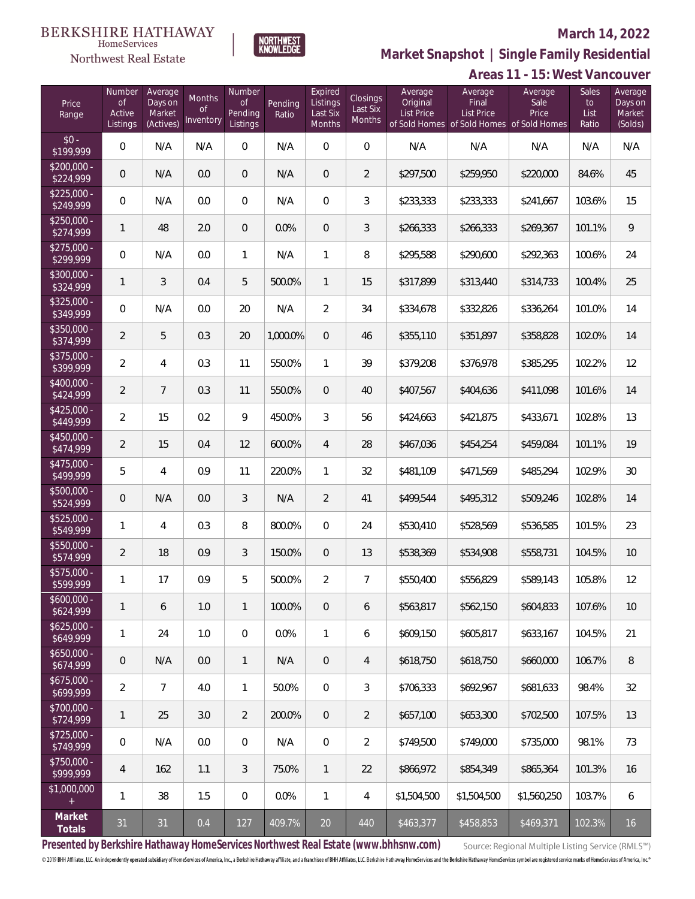# $\begin{array}{llll} \texttt{BERKSHIRE} \texttt{ HATHAWAY} \\ \texttt{\tiny HomeServices} \end{array}$

## Northwest Real Estate

## **March 14, 2022**



# **Market Snapshot | Single Family Residential**

| Areas 11 - 15: West Vancouver |
|-------------------------------|
|-------------------------------|

| Price<br>Range            | Number<br><b>of</b><br>Active<br>Listings | Average<br>Days on<br>Market<br>(Actives) | Months<br><b>of</b><br>Inventory | Number<br><b>of</b><br>Pending<br>Listings | Pending<br>Ratio | Expired<br>Listings<br>Last Six<br>Months | Closings<br>Last Six<br>Months | Average<br>Original<br><b>List Price</b> | Average<br>Final<br><b>List Price</b> | Average<br>Sale<br>Price<br>of Sold Homes of Sold Homes of Sold Homes | Sales<br>to<br>List<br>Ratio | Average<br>Days on<br>Market<br>(Solds) |
|---------------------------|-------------------------------------------|-------------------------------------------|----------------------------------|--------------------------------------------|------------------|-------------------------------------------|--------------------------------|------------------------------------------|---------------------------------------|-----------------------------------------------------------------------|------------------------------|-----------------------------------------|
| $$0 -$<br>\$199,999       | $\overline{0}$                            | N/A                                       | N/A                              | $\overline{0}$                             | N/A              | $\bigcirc$                                | $\overline{0}$                 | N/A                                      | N/A                                   | N/A                                                                   | N/A                          | N/A                                     |
| $$200,000 -$<br>\$224,999 | $\overline{0}$                            | N/A                                       | 0.0                              | $\mathbf{0}$                               | N/A              | $\overline{0}$                            | $\overline{2}$                 | \$297,500                                | \$259,950                             | \$220,000                                                             | 84.6%                        | 45                                      |
| $$225,000 -$<br>\$249,999 | $\overline{0}$                            | N/A                                       | 0.0                              | $\mathbf{0}$                               | N/A              | $\mathbf{0}$                              | 3                              | \$233,333                                | \$233,333                             | \$241,667                                                             | 103.6%                       | 15                                      |
| $$250,000 -$<br>\$274,999 | $\mathbf{1}$                              | 48                                        | 2.0                              | $\overline{0}$                             | 0.0%             | $\overline{0}$                            | $\mathfrak{Z}$                 | \$266,333                                | \$266,333                             | \$269,367                                                             | 101.1%                       | 9                                       |
| $$275,000 -$<br>\$299,999 | $\overline{0}$                            | N/A                                       | 0.0                              | $\mathbf{1}$                               | N/A              | $\mathbf{1}$                              | 8                              | \$295,588                                | \$290,600                             | \$292,363                                                             | 100.6%                       | 24                                      |
| $$300,000 -$<br>\$324,999 | $\mathbf{1}$                              | 3                                         | 0.4                              | 5                                          | 500.0%           | $\mathbf{1}$                              | 15                             | \$317,899                                | \$313,440                             | \$314,733                                                             | 100.4%                       | 25                                      |
| $$325,000 -$<br>\$349,999 | $\mathbf 0$                               | N/A                                       | 0.0                              | 20                                         | N/A              | $\overline{2}$                            | 34                             | \$334,678                                | \$332,826                             | \$336,264                                                             | 101.0%                       | 14                                      |
| $$350,000 -$<br>\$374,999 | $\overline{2}$                            | 5                                         | 0.3                              | 20                                         | 1,000.0%         | $\overline{0}$                            | 46                             | \$355,110                                | \$351,897                             | \$358,828                                                             | 102.0%                       | 14                                      |
| $$375,000 -$<br>\$399,999 | $\overline{2}$                            | $\overline{4}$                            | 0.3                              | 11                                         | 550.0%           | $\mathbf{1}$                              | 39                             | \$379,208                                | \$376,978                             | \$385,295                                                             | 102.2%                       | 12                                      |
| $$400,000 -$<br>\$424,999 | $\overline{2}$                            | $7\overline{ }$                           | 0.3                              | 11                                         | 550.0%           | $\overline{0}$                            | 40                             | \$407,567                                | \$404,636                             | \$411,098                                                             | 101.6%                       | 14                                      |
| $$425,000 -$<br>\$449,999 | $\overline{2}$                            | 15                                        | 0.2                              | 9                                          | 450.0%           | 3                                         | 56                             | \$424,663                                | \$421,875                             | \$433,671                                                             | 102.8%                       | 13                                      |
| $$450,000 -$<br>\$474,999 | $\overline{2}$                            | 15                                        | 0.4                              | 12                                         | 600.0%           | $\overline{4}$                            | 28                             | \$467,036                                | \$454,254                             | \$459,084                                                             | 101.1%                       | 19                                      |
| $$475,000 -$<br>\$499,999 | 5                                         | $\overline{4}$                            | 0.9                              | 11                                         | 220.0%           | $\mathbf{1}$                              | 32                             | \$481,109                                | \$471,569                             | \$485,294                                                             | 102.9%                       | 30                                      |
| \$500,000 -<br>\$524,999  | $\overline{0}$                            | N/A                                       | 0.0                              | $\mathcal{S}$                              | N/A              | $\overline{2}$                            | 41                             | \$499,544                                | \$495,312                             | \$509,246                                                             | 102.8%                       | 14                                      |
| $$525,000 -$<br>\$549,999 | $\mathbf{1}$                              | $\overline{4}$                            | 0.3                              | 8                                          | 800.0%           | $\Omega$                                  | 24                             | \$530,410                                | \$528,569                             | \$536,585                                                             | 101.5%                       | 23                                      |
| \$550,000 -<br>\$574,999  | $\overline{2}$                            | 18                                        | 0.9                              | $\mathcal{S}$                              | 150.0%           | $\overline{0}$                            | 13                             | \$538,369                                | \$534,908                             | \$558,731                                                             | 104.5%                       | 10 <sup>°</sup>                         |
| $$575,000 -$<br>\$599,999 | 1                                         | 17                                        | 0.9                              | 5                                          | 500.0%           | $\overline{2}$                            | $\overline{7}$                 | \$550,400                                | \$556,829                             | \$589,143                                                             | 105.8%                       | 12                                      |
| $5600,000 -$<br>\$624,999 | 1                                         | 6                                         | 1.0                              | $\mathbf{1}$                               | 100.0%           | $\overline{0}$                            | 6                              | \$563,817                                | \$562,150                             | \$604,833                                                             | 107.6%                       | 10                                      |
| $$625,000 -$<br>\$649,999 | 1                                         | 24                                        | 1.0                              | $\mathbf 0$                                | 0.0%             | $\mathbf{1}$                              | 6                              | \$609,150                                | \$605,817                             | \$633,167                                                             | 104.5%                       | 21                                      |
| $$650,000 -$<br>\$674,999 | $\mathbf 0$                               | N/A                                       | 0.0                              | $\mathbf{1}$                               | N/A              | $\overline{0}$                            | 4                              | \$618,750                                | \$618,750                             | \$660,000                                                             | 106.7%                       | 8                                       |
| $$675,000 -$<br>\$699,999 | $\overline{2}$                            | 7                                         | 4.0                              | $\mathbf{1}$                               | 50.0%            | $\overline{0}$                            | 3                              | \$706,333                                | \$692,967                             | \$681,633                                                             | 98.4%                        | 32                                      |
| \$700,000 -<br>\$724,999  | 1                                         | 25                                        | 3.0                              | $\overline{2}$                             | 200.0%           | $\overline{0}$                            | $\overline{2}$                 | \$657,100                                | \$653,300                             | \$702,500                                                             | 107.5%                       | 13                                      |
| \$725,000 -<br>\$749,999  | 0                                         | N/A                                       | 0.0                              | $\mathbf 0$                                | N/A              | $\overline{0}$                            | $\overline{2}$                 | \$749,500                                | \$749,000                             | \$735,000                                                             | 98.1%                        | 73                                      |
| \$750,000 -<br>\$999,999  | 4                                         | 162                                       | 1.1                              | 3                                          | 75.0%            | $\mathbf{1}$                              | 22                             | \$866,972                                | \$854,349                             | \$865,364                                                             | 101.3%                       | 16                                      |
| \$1,000,000<br>$+$        | 1                                         | 38                                        | 1.5                              | $\,0\,$                                    | 0.0%             | $\mathbf{1}$                              | 4                              | \$1,504,500                              | \$1,504,500                           | \$1,560,250                                                           | 103.7%                       | 6                                       |
| Market<br>Totals          | $31\,$                                    | 31                                        | $0.4\,$                          | 127                                        | 409.7%           | $20\,$                                    | 440                            | \$463,377                                | \$458,853                             | \$469,371                                                             | 102.3%                       | 16                                      |

**Presented by Berkshire Hathaway HomeServices Northwest Real Estate (www.bhhsnw.com)**

Source: Regional Multiple Listing Service (RMLS™)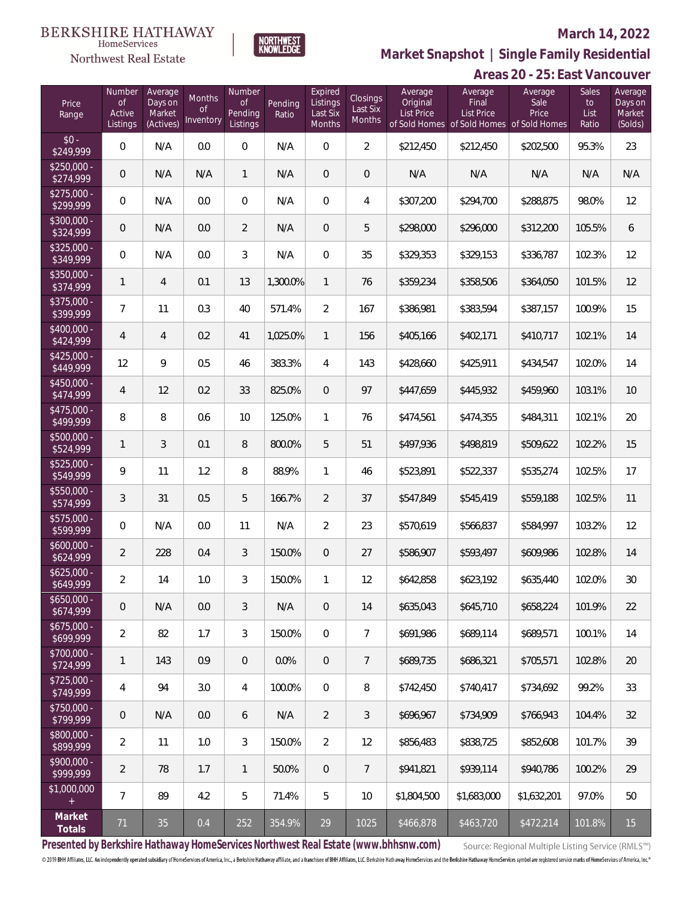## Northwest Real Estate

## **March 14, 2022**



**Areas 20 - 25: East Vancouver Market Snapshot | Single Family Residential**

| Price<br>Range            | Number<br><b>of</b><br>Active<br>Listings | Average<br>Days on<br>Market<br>(Actives) | Months<br><sub>of</sub><br>Inventory | Number<br><b>of</b><br>Pending<br>Listings | Pending<br>Ratio | Expired<br>Listings<br>Last Six<br>Months | Closings<br>Last Six<br>Months | Average<br>Original<br>List Price | Average<br>Final<br><b>List Price</b> | Average<br>Sale<br>Price<br>of Sold Homes of Sold Homes of Sold Homes | Sales<br>to<br>List<br>Ratio | Average<br>Days on<br>Market<br>(Solds) |
|---------------------------|-------------------------------------------|-------------------------------------------|--------------------------------------|--------------------------------------------|------------------|-------------------------------------------|--------------------------------|-----------------------------------|---------------------------------------|-----------------------------------------------------------------------|------------------------------|-----------------------------------------|
| $$0 -$<br>\$249,999       | $\boldsymbol{0}$                          | N/A                                       | 0.0                                  | 0                                          | N/A              | $\overline{0}$                            | $\overline{2}$                 | \$212,450                         | \$212,450                             | \$202,500                                                             | 95.3%                        | 23                                      |
| $$250,000 -$<br>\$274,999 | $\theta$                                  | N/A                                       | N/A                                  | $\mathbf{1}$                               | N/A              | $\overline{0}$                            | $\mathbf 0$                    | N/A                               | N/A                                   | N/A                                                                   | N/A                          | N/A                                     |
| $$275,000 -$<br>\$299,999 | $\mathbf 0$                               | N/A                                       | 0.0                                  | $\mathbf 0$                                | N/A              | $\overline{0}$                            | $\overline{4}$                 | \$307,200                         | \$294,700                             | \$288,875                                                             | 98.0%                        | 12                                      |
| \$300,000 -<br>\$324,999  | $\theta$                                  | N/A                                       | 0.0                                  | $\overline{2}$                             | N/A              | $\overline{0}$                            | 5                              | \$298,000                         | \$296,000                             | \$312,200                                                             | 105.5%                       | 6                                       |
| $$325,000 -$<br>\$349,999 | $\mathbf 0$                               | N/A                                       | 0.0                                  | 3                                          | N/A              | $\overline{0}$                            | 35                             | \$329,353                         | \$329,153                             | \$336,787                                                             | 102.3%                       | 12                                      |
| \$350,000 -<br>\$374,999  | $\mathbf{1}$                              | $\overline{4}$                            | 0.1                                  | 13                                         | 1,300.0%         | $\mathbf{1}$                              | 76                             | \$359,234                         | \$358,506                             | \$364,050                                                             | 101.5%                       | 12                                      |
| \$375,000 -<br>\$399,999  | $\overline{7}$                            | 11                                        | 0.3                                  | 40                                         | 571.4%           | $\overline{2}$                            | 167                            | \$386,981                         | \$383,594                             | \$387,157                                                             | 100.9%                       | 15                                      |
| $$400.000 -$<br>\$424,999 | $\overline{4}$                            | $\overline{4}$                            | 0.2                                  | 41                                         | 1,025.0%         | $\mathbf{1}$                              | 156                            | \$405,166                         | \$402,171                             | \$410,717                                                             | 102.1%                       | 14                                      |
| $$425.000 -$<br>\$449,999 | 12                                        | 9                                         | 0.5                                  | 46                                         | 383.3%           | 4                                         | 143                            | \$428,660                         | \$425,911                             | \$434,547                                                             | 102.0%                       | 14                                      |
| $$450.000 -$<br>\$474,999 | 4                                         | 12                                        | 0.2                                  | 33                                         | 825.0%           | $\overline{0}$                            | 97                             | \$447,659                         | \$445,932                             | \$459,960                                                             | 103.1%                       | 10                                      |
| $$475.000 -$<br>\$499,999 | 8                                         | 8                                         | 0.6                                  | 10                                         | 125.0%           | $\mathbf{1}$                              | 76                             | \$474,561                         | \$474,355                             | \$484,311                                                             | 102.1%                       | 20                                      |
| \$500,000 -<br>\$524,999  | 1                                         | 3                                         | 0.1                                  | 8                                          | 800.0%           | 5                                         | 51                             | \$497,936                         | \$498,819                             | \$509,622                                                             | 102.2%                       | 15                                      |
| $$525,000 -$<br>\$549,999 | 9                                         | 11                                        | 1.2                                  | 8                                          | 88.9%            | $\mathbf{1}$                              | 46                             | \$523,891                         | \$522,337                             | \$535,274                                                             | 102.5%                       | 17                                      |
| \$550,000 -<br>\$574,999  | 3                                         | 31                                        | 0.5                                  | 5                                          | 166.7%           | $\overline{2}$                            | 37                             | \$547,849                         | \$545,419                             | \$559,188                                                             | 102.5%                       | 11                                      |
| \$575,000 -<br>\$599,999  | $\boldsymbol{0}$                          | N/A                                       | 0.0                                  | 11                                         | N/A              | $\overline{2}$                            | 23                             | \$570,619                         | \$566,837                             | \$584,997                                                             | 103.2%                       | 12                                      |
| $$600,000 -$<br>\$624,999 | $\overline{2}$                            | 228                                       | 0.4                                  | 3                                          | 150.0%           | $\overline{0}$                            | 27                             | \$586,907                         | \$593,497                             | \$609,986                                                             | 102.8%                       | 14                                      |
| $$625,000 -$<br>\$649,999 | $\overline{2}$                            | 14                                        | $1.0\,$                              | 3                                          | 150.0%           | 1                                         | 12                             | \$642,858                         | \$623,192                             | \$635,440                                                             | 102.0%                       | 30                                      |
| $$650,000 -$<br>\$674,999 | $\theta$                                  | N/A                                       | 0.0                                  | 3                                          | N/A              | $\overline{0}$                            | 14                             | \$635,043                         | \$645,710                             | \$658,224                                                             | 101.9%                       | 22                                      |
| $$675,000 -$<br>\$699,999 | $\sqrt{2}$                                | 82                                        | 1.7                                  | 3                                          | 150.0%           | $\overline{0}$                            | $\overline{7}$                 | \$691,986                         | \$689,114                             | \$689,571                                                             | 100.1%                       | 14                                      |
| \$700,000 -<br>\$724,999  | $\mathbf{1}$                              | 143                                       | 0.9                                  | $\mathbf 0$                                | 0.0%             | $\overline{0}$                            | $\overline{7}$                 | \$689,735                         | \$686,321                             | \$705,571                                                             | 102.8%                       | 20                                      |
| $$725,000 -$<br>\$749,999 | $\overline{4}$                            | 94                                        | 3.0                                  | 4                                          | 100.0%           | $\overline{0}$                            | 8                              | \$742,450                         | \$740,417                             | \$734,692                                                             | 99.2%                        | 33                                      |
| \$750,000 -<br>\$799,999  | $\theta$                                  | N/A                                       | 0.0                                  | 6                                          | N/A              | $\overline{2}$                            | 3                              | \$696,967                         | \$734,909                             | \$766,943                                                             | 104.4%                       | 32                                      |
| \$800,000 -<br>\$899,999  | $\overline{2}$                            | 11                                        | 1.0                                  | 3                                          | 150.0%           | $\overline{2}$                            | 12                             | \$856,483                         | \$838,725                             | \$852,608                                                             | 101.7%                       | 39                                      |
| $$900,000 -$<br>\$999,999 | $\overline{2}$                            | 78                                        | 1.7                                  | $\mathbf{1}$                               | 50.0%            | $\mathbf{0}$                              | $\overline{7}$                 | \$941,821                         | \$939,114                             | \$940,786                                                             | 100.2%                       | 29                                      |
| \$1,000,000<br>$+$        | $\overline{7}$                            | 89                                        | 4.2                                  | 5                                          | 71.4%            | 5                                         | 10                             | \$1,804,500                       | \$1,683,000                           | \$1,632,201                                                           | 97.0%                        | 50                                      |
| Market<br>Totals          | 71                                        | 35                                        | 0.4                                  | 252                                        | 354.9%           | 29                                        | 1025                           | \$466,878                         | \$463,720                             | \$472,214                                                             | 101.8%                       | 15 <sup>2</sup>                         |

**Presented by Berkshire Hathaway HomeServices Northwest Real Estate (www.bhhsnw.com)**

Source: Regional Multiple Listing Service (RMLS™)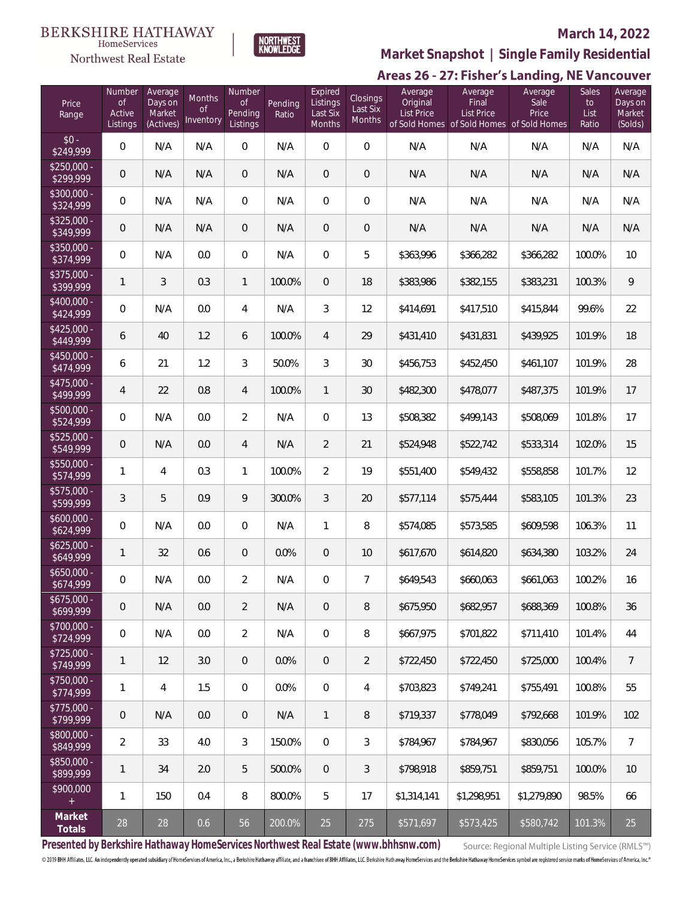



## **March 14, 2022**

**Market Snapshot | Single Family Residential**

## Areas 26 - 27: Fisher's Landing, NE Vancouver

| Price<br>Range            | Number<br><b>of</b><br>Active<br>Listings | Average<br>Days on<br>Market<br>(Actives) | Months<br><sub>of</sub><br>Inventory | Number<br><b>of</b><br>Pending<br>Listings | Pending<br>Ratio | Expired<br>Listings<br>Last Six<br><b>Months</b> | Closings<br>Last Six<br>Months | Average<br>Original<br>List Price | Average<br>Final<br><b>List Price</b><br>of Sold Homes of Sold Homes of Sold Homes | Average<br>Sale<br>Price | <b>Sales</b><br>to<br>List<br>Ratio | Average<br>Days on<br>Market<br>(Solds) |
|---------------------------|-------------------------------------------|-------------------------------------------|--------------------------------------|--------------------------------------------|------------------|--------------------------------------------------|--------------------------------|-----------------------------------|------------------------------------------------------------------------------------|--------------------------|-------------------------------------|-----------------------------------------|
| $$0 -$<br>\$249,999       | $\Omega$                                  | N/A                                       | N/A                                  | $\Omega$                                   | N/A              | $\Omega$                                         | 0                              | N/A                               | N/A                                                                                | N/A                      | N/A                                 | N/A                                     |
| $$250,000 -$<br>\$299,999 | $\overline{0}$                            | N/A                                       | N/A                                  | $\overline{0}$                             | N/A              | $\Omega$                                         | $\overline{0}$                 | N/A                               | N/A                                                                                | N/A                      | N/A                                 | N/A                                     |
| \$300,000 -<br>\$324,999  | $\overline{0}$                            | N/A                                       | N/A                                  | $\overline{0}$                             | N/A              | $\Omega$                                         | $\overline{0}$                 | N/A                               | N/A                                                                                | N/A                      | N/A                                 | N/A                                     |
| \$325,000 -<br>\$349,999  | $\overline{0}$                            | N/A                                       | N/A                                  | $\overline{0}$                             | N/A              | $\overline{0}$                                   | $\overline{0}$                 | N/A                               | N/A                                                                                | N/A                      | N/A                                 | N/A                                     |
| \$350,000 -<br>\$374,999  | $\overline{0}$                            | N/A                                       | 0.0                                  | $\overline{0}$                             | N/A              | $\overline{0}$                                   | 5                              | \$363,996                         | \$366,282                                                                          | \$366,282                | 100.0%                              | 10                                      |
| \$375,000 -<br>\$399,999  | $\mathbf{1}$                              | 3                                         | 0.3                                  | $\mathbf{1}$                               | 100.0%           | $\Omega$                                         | 18                             | \$383,986                         | \$382,155                                                                          | \$383,231                | 100.3%                              | 9                                       |
| \$400,000 -<br>\$424,999  | $\overline{0}$                            | N/A                                       | 0.0                                  | 4                                          | N/A              | 3                                                | 12                             | \$414,691                         | \$417,510                                                                          | \$415,844                | 99.6%                               | 22                                      |
| $$425,000 -$<br>\$449,999 | 6                                         | 40                                        | 1.2                                  | 6                                          | 100.0%           | $\overline{4}$                                   | 29                             | \$431,410                         | \$431,831                                                                          | \$439,925                | 101.9%                              | 18                                      |
| $$450,000 -$<br>\$474,999 | 6                                         | 21                                        | 1.2                                  | 3                                          | 50.0%            | 3                                                | 30                             | \$456,753                         | \$452,450                                                                          | \$461,107                | 101.9%                              | 28                                      |
| $$475,000 -$<br>\$499,999 | $\overline{4}$                            | 22                                        | 0.8                                  | $\overline{4}$                             | 100.0%           | $\mathbf{1}$                                     | 30                             | \$482,300                         | \$478,077                                                                          | \$487,375                | 101.9%                              | 17                                      |
| \$500,000 -<br>\$524,999  | $\overline{0}$                            | N/A                                       | 0.0                                  | $\overline{2}$                             | N/A              | $\Omega$                                         | 13                             | \$508,382                         | \$499,143                                                                          | \$508,069                | 101.8%                              | 17                                      |
| \$525,000 -<br>\$549,999  | $\overline{0}$                            | N/A                                       | 0.0                                  | $\overline{4}$                             | N/A              | $\overline{2}$                                   | 21                             | \$524,948                         | \$522,742                                                                          | \$533,314                | 102.0%                              | 15                                      |
| \$550,000 -<br>\$574,999  | $\mathbf{1}$                              | 4                                         | 0.3                                  | $\mathbf{1}$                               | 100.0%           | $\overline{2}$                                   | 19                             | \$551,400                         | \$549,432                                                                          | \$558,858                | 101.7%                              | 12                                      |
| \$575,000 -<br>\$599,999  | 3                                         | 5                                         | 0.9                                  | 9                                          | 300.0%           | 3                                                | 20                             | \$577,114                         | \$575,444                                                                          | \$583,105                | 101.3%                              | 23                                      |
| $$600,000 -$<br>\$624,999 | 0                                         | N/A                                       | 0.0                                  | 0                                          | N/A              | $\mathbf{1}$                                     | 8                              | \$574,085                         | \$573,585                                                                          | \$609,598                | 106.3%                              | 11                                      |
| $$625,000 -$<br>\$649,999 | $\mathbf{1}$                              | 32                                        | 0.6                                  | $\overline{0}$                             | 0.0%             | $\overline{0}$                                   | 10                             | \$617,670                         | \$614,820                                                                          | \$634,380                | 103.2%                              | 24                                      |
| $$650,000 -$<br>\$674,999 | 0                                         | N/A                                       | 0.0                                  | $\overline{2}$                             | N/A              | 0                                                | $\overline{7}$                 | \$649,543                         | \$660,063                                                                          | \$661,063                | 100.2%                              | 16                                      |
| $$675,000 -$<br>\$699,999 | $\mathsf{O}\xspace$                       | N/A                                       | 0.0                                  | $\overline{2}$                             | N/A              | $\theta$                                         | 8                              | \$675,950                         | \$682,957                                                                          | \$688,369                | 100.8%                              | 36                                      |
| \$700,000 -<br>\$724,999  | $\boldsymbol{0}$                          | N/A                                       | 0.0                                  | $\overline{2}$                             | N/A              | $\mathbf 0$                                      | 8                              | \$667,975                         | \$701,822                                                                          | \$711,410                | 101.4%                              | 44                                      |
| $$725,000 -$<br>\$749,999 | 1                                         | 12                                        | 3.0                                  | $\overline{0}$                             | 0.0%             | $\overline{0}$                                   | $\overline{2}$                 | \$722,450                         | \$722,450                                                                          | \$725,000                | 100.4%                              | $\overline{7}$                          |
| $$750,000 -$<br>\$774,999 | 1                                         | $\overline{4}$                            | 1.5                                  | $\mathbf{0}$                               | 0.0%             | $\overline{0}$                                   | 4                              | \$703,823                         | \$749,241                                                                          | \$755,491                | 100.8%                              | 55                                      |
| $$775,000 -$<br>\$799,999 | 0                                         | N/A                                       | 0.0                                  | $\overline{0}$                             | N/A              | $\mathbf{1}$                                     | 8                              | \$719,337                         | \$778,049                                                                          | \$792,668                | 101.9%                              | 102                                     |
| \$800,000 -<br>\$849,999  | $\overline{2}$                            | 33                                        | 4.0                                  | $\mathfrak{Z}$                             | 150.0%           | $\mathbf{0}$                                     | $\mathfrak{Z}$                 | \$784,967                         | \$784,967                                                                          | \$830,056                | 105.7%                              | $\overline{7}$                          |
| \$850,000 -<br>\$899,999  | $\mathbf{1}$                              | 34                                        | 2.0                                  | 5                                          | 500.0%           | $\mathbf 0$                                      | 3                              | \$798,918                         | \$859,751                                                                          | \$859,751                | 100.0%                              | 10                                      |
| \$900,000<br>$+$          | $\mathbf{1}$                              | 150                                       | 0.4                                  | 8                                          | 800.0%           | 5                                                | 17                             | \$1,314,141                       | \$1,298,951                                                                        | \$1,279,890              | 98.5%                               | 66                                      |
| Market<br>Totals          | 28                                        | 28                                        | 0.6                                  | 56                                         | 200.0%           | 25                                               | 275                            | \$571,697                         | \$573,425                                                                          | \$580,742                | 101.3%                              | 25                                      |

**Presented by Berkshire Hathaway HomeServices Northwest Real Estate (www.bhhsnw.com)**

Source: Regional Multiple Listing Service (RMLS™)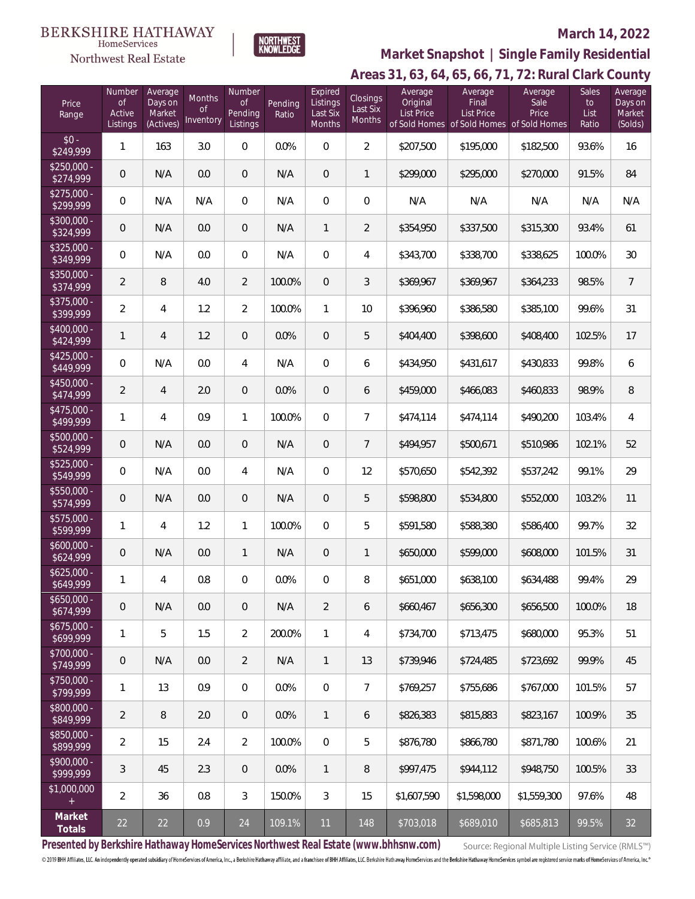#### **BERKSHIRE HATHAWAY** HomeServices Northwest Real Estate



## **March 14, 2022**

## **Areas 31, 63, 64, 65, 66, 71, 72: Rural Clark County Market Snapshot | Single Family Residential**

| Price<br>Range            | Number<br>$\mathop{\rm of}$<br>Active<br>Listings | Average<br>Days on<br>Market<br>(Actives) | Months<br><sub>of</sub><br>Inventory | Number<br><b>of</b><br>Pending<br>Listings | Pending<br>Ratio | Expired<br>Listings<br>Last Six<br><b>Months</b> | Closings<br>Last Six<br>Months | Average<br>Original<br><b>List Price</b> | Average<br>Final<br><b>List Price</b><br>of Sold Homes of Sold Homes of Sold Homes | Average<br>Sale<br>Price | Sales<br>to<br>List<br>Ratio | Average<br>Days on<br>Market<br>(Solds) |
|---------------------------|---------------------------------------------------|-------------------------------------------|--------------------------------------|--------------------------------------------|------------------|--------------------------------------------------|--------------------------------|------------------------------------------|------------------------------------------------------------------------------------|--------------------------|------------------------------|-----------------------------------------|
| $$0 -$<br>\$249,999       | $\mathbf{1}$                                      | 163                                       | 3.0                                  | 0                                          | $0.0\%$          | $\Omega$                                         | $\overline{2}$                 | \$207,500                                | \$195,000                                                                          | \$182,500                | 93.6%                        | 16                                      |
| $$250.000 -$<br>\$274,999 | $\theta$                                          | N/A                                       | 0.0                                  | $\overline{0}$                             | N/A              | $\overline{0}$                                   | $\mathbf{1}$                   | \$299,000                                | \$295,000                                                                          | \$270,000                | 91.5%                        | 84                                      |
| $$275,000 -$<br>\$299,999 | $\mathbf{0}$                                      | N/A                                       | N/A                                  | $\overline{0}$                             | N/A              | $\overline{0}$                                   | $\mathbf 0$                    | N/A                                      | N/A                                                                                | N/A                      | N/A                          | N/A                                     |
| \$300,000 -<br>\$324,999  | $\overline{0}$                                    | N/A                                       | 0.0                                  | $\overline{0}$                             | N/A              | $\mathbf{1}$                                     | $\overline{2}$                 | \$354,950                                | \$337,500                                                                          | \$315,300                | 93.4%                        | 61                                      |
| \$325,000 -<br>\$349,999  | $\overline{0}$                                    | N/A                                       | 0.0                                  | $\overline{0}$                             | N/A              | $\overline{0}$                                   | $\overline{4}$                 | \$343,700                                | \$338,700                                                                          | \$338,625                | 100.0%                       | 30                                      |
| \$350,000 -<br>\$374,999  | $\overline{2}$                                    | 8                                         | 4.0                                  | $\overline{2}$                             | 100.0%           | $\overline{0}$                                   | 3                              | \$369,967                                | \$369,967                                                                          | \$364,233                | 98.5%                        | $\overline{7}$                          |
| \$375,000 -<br>\$399,999  | $\overline{2}$                                    | 4                                         | 1.2                                  | $\overline{2}$                             | 100.0%           | $\mathbf{1}$                                     | 10                             | \$396,960                                | \$386,580                                                                          | \$385,100                | 99.6%                        | 31                                      |
| \$400,000 -<br>\$424,999  | $\mathbf{1}$                                      | $\overline{4}$                            | 1.2                                  | $\overline{0}$                             | 0.0%             | $\mathbf{0}$                                     | 5                              | \$404,400                                | \$398,600                                                                          | \$408,400                | 102.5%                       | 17                                      |
| \$425,000 -<br>\$449,999  | $\overline{0}$                                    | N/A                                       | 0.0                                  | 4                                          | N/A              | $\overline{0}$                                   | 6                              | \$434,950                                | \$431,617                                                                          | \$430,833                | 99.8%                        | 6                                       |
| \$450,000 -<br>\$474,999  | $\overline{2}$                                    | $\overline{4}$                            | 2.0                                  | $\overline{0}$                             | 0.0%             | 0                                                | 6                              | \$459,000                                | \$466,083                                                                          | \$460,833                | 98.9%                        | 8                                       |
| $$475,000 -$<br>\$499,999 | 1                                                 | 4                                         | 0.9                                  | $\mathbf{1}$                               | 100.0%           | $\Omega$                                         | $\overline{7}$                 | \$474,114                                | \$474,114                                                                          | \$490,200                | 103.4%                       | 4                                       |
| \$500,000 -<br>\$524,999  | $\overline{0}$                                    | N/A                                       | 0.0                                  | $\overline{0}$                             | N/A              | $\mathbf{0}$                                     | $7\overline{ }$                | \$494,957                                | \$500,671                                                                          | \$510,986                | 102.1%                       | 52                                      |
| $$525,000 -$<br>\$549,999 | $\mathbf{0}$                                      | N/A                                       | 0.0                                  | 4                                          | N/A              | $\Omega$                                         | 12                             | \$570,650                                | \$542,392                                                                          | \$537,242                | 99.1%                        | 29                                      |
| \$550,000 -<br>\$574,999  | $\overline{0}$                                    | N/A                                       | 0.0                                  | $\overline{0}$                             | N/A              | $\overline{0}$                                   | 5                              | \$598,800                                | \$534,800                                                                          | \$552,000                | 103.2%                       | 11                                      |
| $$575,000 -$<br>\$599,999 | $\mathbf{1}$                                      | 4                                         | 1.2                                  | $\mathbf{1}$                               | 100.0%           | $\Omega$                                         | 5                              | \$591,580                                | \$588,380                                                                          | \$586,400                | 99.7%                        | 32                                      |
| $$600,000 -$<br>\$624,999 | $\theta$                                          | N/A                                       | 0.0                                  | $\mathbf{1}$                               | N/A              | $\mathbf{0}$                                     | $\mathbf{1}$                   | \$650,000                                | \$599,000                                                                          | \$608,000                | 101.5%                       | 31                                      |
| $$625,000 -$<br>\$649,999 | 1                                                 | 4                                         | 0.8                                  | 0                                          | 0.0%             | $\mathbf{0}$                                     | 8                              | \$651,000                                | \$638,100                                                                          | \$634,488                | 99.4%                        | 29                                      |
| $$650,000 -$<br>\$674,999 | $\theta$                                          | N/A                                       | 0.0                                  | $\mathsf{O}\xspace$                        | N/A              | $\overline{2}$                                   | 6                              | \$660,467                                | \$656,300                                                                          | \$656,500                | 100.0%                       | 18                                      |
| $$675,000 -$<br>\$699,999 | $\mathbf{1}$                                      | 5                                         | 1.5                                  | $\overline{2}$                             | 200.0%           | $\mathbf{1}$                                     | 4                              | \$734,700                                | \$713,475                                                                          | \$680,000                | 95.3%                        | 51                                      |
| \$700,000 -<br>\$749,999  | $\mathbf 0$                                       | N/A                                       | 0.0                                  | $\overline{2}$                             | N/A              | 1                                                | 13                             | \$739,946                                | \$724,485                                                                          | \$723,692                | 99.9%                        | 45                                      |
| $$750,000 -$<br>\$799,999 | $\mathbf{1}$                                      | 13                                        | 0.9                                  | $\boldsymbol{0}$                           | 0.0%             | $\mathbf 0$                                      | $\overline{7}$                 | \$769,257                                | \$755,686                                                                          | \$767,000                | 101.5%                       | 57                                      |
| \$800,000 -<br>\$849,999  | $\overline{2}$                                    | $\, 8$                                    | 2.0                                  | $\overline{0}$                             | 0.0%             | 1                                                | 6                              | \$826,383                                | \$815,883                                                                          | \$823,167                | 100.9%                       | 35                                      |
| \$850,000 -<br>\$899,999  | $\overline{2}$                                    | 15                                        | 2.4                                  | $\overline{2}$                             | 100.0%           | $\mathbf 0$                                      | 5                              | \$876,780                                | \$866,780                                                                          | \$871,780                | 100.6%                       | 21                                      |
| \$900,000 -<br>\$999,999  | $\mathfrak{Z}$                                    | 45                                        | 2.3                                  | $\overline{0}$                             | 0.0%             | $\mathbf{1}$                                     | 8                              | \$997,475                                | \$944,112                                                                          | \$948,750                | 100.5%                       | 33                                      |
| \$1,000,000<br>$+$        | $\overline{2}$                                    | 36                                        | 0.8                                  | $\mathfrak{Z}$                             | 150.0%           | 3                                                | 15                             | \$1,607,590                              | \$1,598,000                                                                        | \$1,559,300              | 97.6%                        | 48                                      |
| Market<br>Totals          | 22                                                | 22                                        | 0.9                                  | 24                                         | 109.1%           | 11                                               | 148                            | \$703,018                                | \$689,010                                                                          | \$685,813                | 99.5%                        | 32                                      |

**Presented by Berkshire Hathaway HomeServices Northwest Real Estate (www.bhhsnw.com)**

Source: Regional Multiple Listing Service (RMLS™)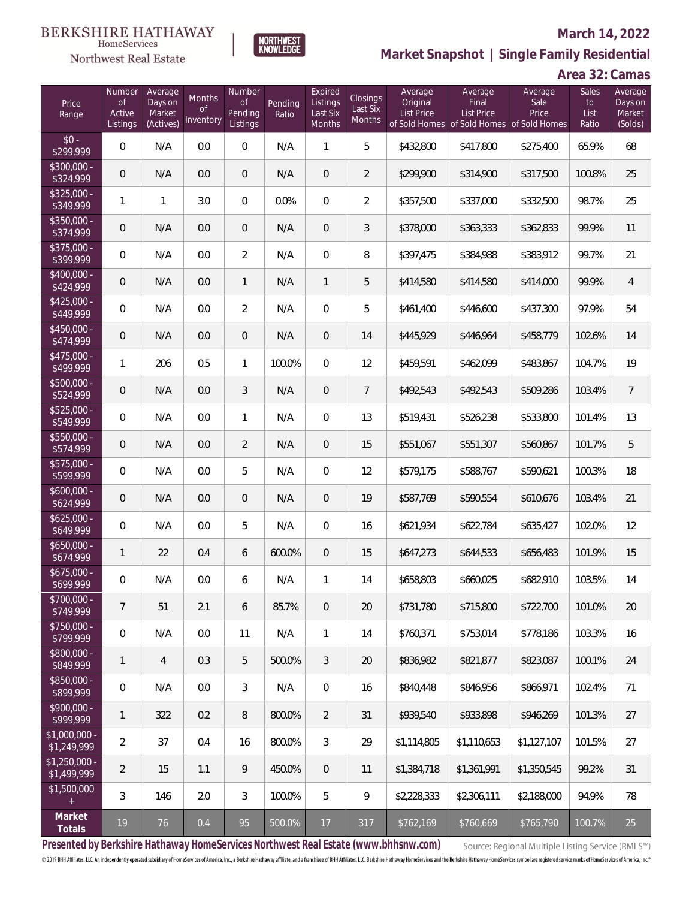## Northwest Real Estate

### **March 14, 2022**



**Market Snapshot | Single Family Residential**

## **Area 32: Camas**

| Price<br>Range                | Number<br><b>of</b><br>Active<br>Listings | Average<br>Days on<br>Market<br>(Actives) | Months<br>of<br>Inventory | Number<br>of<br>Pending<br>Listings | Pending<br>Ratio | Expired<br>Listings<br>Last Six<br>Months | Closings<br>Last Six<br>Months | Average<br>Original<br>List Price | Average<br>Final<br>List Price | Average<br>Sale<br>Price<br>of Sold Homes of Sold Homes of Sold Homes | Sales<br>to<br>List<br>Ratio | Average<br>Days on<br>Market<br>(Solds) |
|-------------------------------|-------------------------------------------|-------------------------------------------|---------------------------|-------------------------------------|------------------|-------------------------------------------|--------------------------------|-----------------------------------|--------------------------------|-----------------------------------------------------------------------|------------------------------|-----------------------------------------|
| $$0 -$<br>\$299,999           | $\mathbf 0$                               | N/A                                       | 0.0                       | $\mathbf 0$                         | N/A              | $\mathbf{1}$                              | 5                              | \$432,800                         | \$417,800                      | \$275,400                                                             | 65.9%                        | 68                                      |
| $$300,000 -$<br>\$324,999     | $\mathbf 0$                               | N/A                                       | 0.0                       | $\mathbf{0}$                        | N/A              | $\mathbf 0$                               | $\overline{2}$                 | \$299,900                         | \$314,900                      | \$317,500                                                             | 100.8%                       | 25                                      |
| $$325,000 -$<br>\$349,999     | $\mathbf{1}$                              | $\mathbf{1}$                              | 3.0                       | $\overline{0}$                      | 0.0%             | $\overline{0}$                            | $\overline{2}$                 | \$357,500                         | \$337,000                      | \$332,500                                                             | 98.7%                        | 25                                      |
| $$350,000 -$<br>\$374,999     | $\overline{0}$                            | N/A                                       | 0.0                       | $\mathbf{0}$                        | N/A              | $\sqrt{a}$                                | 3                              | \$378,000                         | \$363,333                      | \$362,833                                                             | 99.9%                        | 11                                      |
| $$375,000 -$<br>\$399,999     | $\mathbf 0$                               | N/A                                       | 0.0                       | $\overline{2}$                      | N/A              | $\overline{0}$                            | 8                              | \$397,475                         | \$384,988                      | \$383,912                                                             | 99.7%                        | 21                                      |
| $$400,000 -$<br>\$424,999     | $\overline{0}$                            | N/A                                       | 0.0                       | $\mathbf{1}$                        | N/A              | $\mathbf{1}$                              | 5                              | \$414,580                         | \$414,580                      | \$414,000                                                             | 99.9%                        | $\overline{4}$                          |
| $$425,000 -$<br>\$449,999     | 0                                         | N/A                                       | 0.0                       | $\overline{2}$                      | N/A              | $\mathbf 0$                               | 5                              | \$461,400                         | \$446,600                      | \$437,300                                                             | 97.9%                        | 54                                      |
| $$450,000 -$<br>\$474,999     | $\mathbf 0$                               | N/A                                       | 0.0                       | $\overline{0}$                      | N/A              | $\overline{0}$                            | 14                             | \$445,929                         | \$446,964                      | \$458,779                                                             | 102.6%                       | 14                                      |
| $$475,000 -$<br>\$499,999     | $\mathbf{1}$                              | 206                                       | 0.5                       | $\mathbf{1}$                        | 100.0%           | $\overline{0}$                            | 12                             | \$459,591                         | \$462,099                      | \$483,867                                                             | 104.7%                       | 19                                      |
| $$500,000 -$<br>\$524,999     | $\mathbf 0$                               | N/A                                       | 0.0                       | $\mathfrak{Z}$                      | N/A              | $\sqrt{a}$                                | $\overline{7}$                 | \$492,543                         | \$492,543                      | \$509,286                                                             | 103.4%                       | $\overline{7}$                          |
| $$525,000 -$<br>\$549,999     | $\mathbf 0$                               | N/A                                       | 0.0                       | $\mathbf{1}$                        | N/A              | $\overline{0}$                            | 13                             | \$519,431                         | \$526,238                      | \$533,800                                                             | 101.4%                       | 13                                      |
| $$550,000 -$<br>\$574,999     | $\mathbf 0$                               | N/A                                       | 0.0                       | $\overline{2}$                      | N/A              | $\overline{0}$                            | 15                             | \$551,067                         | \$551,307                      | \$560,867                                                             | 101.7%                       | 5                                       |
| $$575,000 -$<br>\$599,999     | 0                                         | N/A                                       | 0.0                       | 5                                   | N/A              | $\overline{0}$                            | 12                             | \$579,175                         | \$588,767                      | \$590,621                                                             | 100.3%                       | 18                                      |
| $$600,000 -$<br>\$624,999     | $\mathbf 0$                               | N/A                                       | 0.0                       | $\overline{0}$                      | N/A              | $\sqrt{a}$                                | 19                             | \$587,769                         | \$590,554                      | \$610,676                                                             | 103.4%                       | 21                                      |
| $$625,000 -$<br>\$649,999     | 0                                         | N/A                                       | 0.0                       | 5                                   | N/A              | $\overline{0}$                            | 16                             | \$621,934                         | \$622,784                      | \$635,427                                                             | 102.0%                       | 12                                      |
| $$650,000 -$<br>\$674,999     | $\mathbf{1}$                              | 22                                        | 0.4                       | 6                                   | 600.0%           | $\overline{0}$                            | 15                             | \$647,273                         | \$644,533                      | \$656,483                                                             | 101.9%                       | 15                                      |
| $$675,000 -$<br>\$699,999     | 0                                         | N/A                                       | 0.0                       | 6                                   | N/A              | $\mathbf{1}$                              | 14                             | \$658,803                         | \$660,025                      | \$682,910                                                             | 103.5%                       | 14                                      |
| \$700,000 -<br>\$749,999      | $\overline{7}$                            | 51                                        | 2.1                       | 6                                   | 85.7%            | $\mathbf 0$                               | 20                             | \$731,780                         | \$715,800                      | \$722,700                                                             | 101.0%                       | $20\,$                                  |
| \$750,000 -<br>\$799,999      | $\mathbf 0$                               | N/A                                       | $0.0\,$                   | 11                                  | N/A              | $\mathbf{1}$                              | 14                             | \$760,371                         | \$753,014                      | \$778,186                                                             | 103.3%                       | 16                                      |
| \$800,000 -<br>\$849,999      | $\mathbf{1}$                              | 4                                         | 0.3                       | 5                                   | 500.0%           | 3                                         | 20                             | \$836,982                         | \$821,877                      | \$823,087                                                             | 100.1%                       | 24                                      |
| \$850,000 -<br>\$899,999      | 0                                         | N/A                                       | $0.0\,$                   | 3                                   | N/A              | $\mathbf 0$                               | 16                             | \$840,448                         | \$846,956                      | \$866,971                                                             | 102.4%                       | 71                                      |
| \$900,000 -<br>\$999,999      | $\mathbf{1}$                              | 322                                       | 0.2                       | 8                                   | 800.0%           | $\overline{2}$                            | 31                             | \$939,540                         | \$933,898                      | \$946,269                                                             | 101.3%                       | 27                                      |
| \$1,000,000 -<br>\$1,249,999  | $\overline{2}$                            | 37                                        | 0.4                       | 16                                  | 800.0%           | 3                                         | 29                             | \$1,114,805                       | \$1,110,653                    | \$1,127,107                                                           | 101.5%                       | 27                                      |
| $$1,250,000 -$<br>\$1,499,999 | $\overline{2}$                            | 15                                        | 1.1                       | 9                                   | 450.0%           | $\sqrt{0}$                                | 11                             | \$1,384,718                       | \$1,361,991                    | \$1,350,545                                                           | 99.2%                        | 31                                      |
| \$1,500,000<br>$^{+}$         | 3                                         | 146                                       | 2.0                       | 3                                   | 100.0%           | 5                                         | $\overline{9}$                 | \$2,228,333                       | \$2,306,111                    | \$2,188,000                                                           | 94.9%                        | 78                                      |
| Market<br>Totals              | 19                                        | 76                                        | $0.4\,$                   | 95                                  | 500.0%           | 17                                        | 317                            | \$762,169                         | \$760,669                      | \$765,790                                                             | 100.7%                       | 25                                      |

**Presented by Berkshire Hathaway HomeServices Northwest Real Estate (www.bhhsnw.com)**

Source: Regional Multiple Listing Service (RMLS™)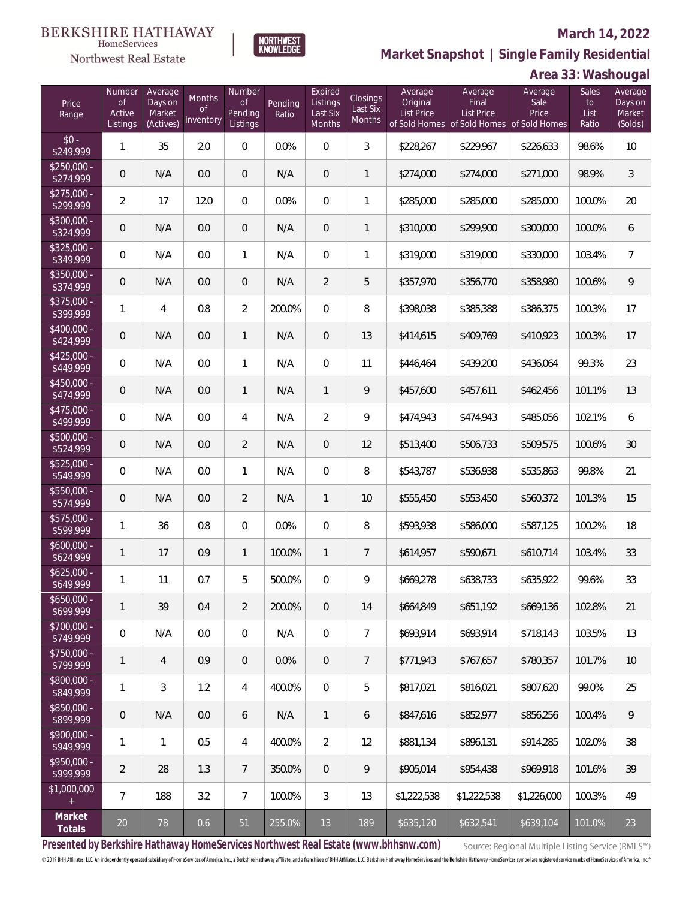## Northwest Real Estate

## **March 14, 2022**



|                           |                                    |                                           |                                  |                                            |                  |                                                  |                                |                                          |                                                                                    |                          | Al ed 33. Washouyal          |                                         |
|---------------------------|------------------------------------|-------------------------------------------|----------------------------------|--------------------------------------------|------------------|--------------------------------------------------|--------------------------------|------------------------------------------|------------------------------------------------------------------------------------|--------------------------|------------------------------|-----------------------------------------|
| Price<br>Range            | Number<br>of<br>Active<br>Listings | Average<br>Days on<br>Market<br>(Actives) | Months<br><b>of</b><br>Inventory | Number<br><b>of</b><br>Pending<br>Listings | Pending<br>Ratio | Expired<br>Listings<br>Last Six<br><b>Months</b> | Closings<br>Last Six<br>Months | Average<br>Original<br><b>List Price</b> | Average<br>Final<br><b>List Price</b><br>of Sold Homes of Sold Homes of Sold Homes | Average<br>Sale<br>Price | Sales<br>to<br>List<br>Ratio | Average<br>Days on<br>Market<br>(Solds) |
| $$0 -$<br>\$249,999       | 1                                  | 35                                        | 2.0                              | $\mathbf{0}$                               | 0.0%             | $\overline{0}$                                   | 3                              | \$228,267                                | \$229,967                                                                          | \$226,633                | 98.6%                        | 10                                      |
| $$250,000 -$<br>\$274,999 | $\overline{0}$                     | N/A                                       | 0.0                              | $\overline{0}$                             | N/A              | $\overline{0}$                                   | 1                              | \$274,000                                | \$274,000                                                                          | \$271,000                | 98.9%                        | $\mathfrak{Z}$                          |
| $$275,000 -$<br>\$299,999 | $\overline{2}$                     | 17                                        | 12.0                             | $\overline{0}$                             | 0.0%             | $\overline{0}$                                   | 1                              | \$285,000                                | \$285,000                                                                          | \$285,000                | 100.0%                       | 20                                      |
| $$300,000 -$<br>\$324,999 | $\overline{0}$                     | N/A                                       | 0.0                              | $\overline{0}$                             | N/A              | $\overline{0}$                                   | 1                              | \$310,000                                | \$299,900                                                                          | \$300,000                | 100.0%                       | 6                                       |
| $$325,000 -$<br>\$349,999 | $\overline{0}$                     | N/A                                       | 0.0                              | 1                                          | N/A              | $\overline{0}$                                   | 1                              | \$319,000                                | \$319,000                                                                          | \$330,000                | 103.4%                       | $\overline{7}$                          |
| $$350,000 -$<br>\$374,999 | $\overline{0}$                     | N/A                                       | 0.0                              | $\overline{0}$                             | N/A              | $\overline{2}$                                   | 5                              | \$357,970                                | \$356,770                                                                          | \$358,980                | 100.6%                       | 9                                       |
| $$375,000 -$<br>\$399,999 | 1                                  | $\overline{4}$                            | 0.8                              | $\overline{2}$                             | 200.0%           | $\overline{0}$                                   | 8                              | \$398,038                                | \$385,388                                                                          | \$386,375                | 100.3%                       | 17                                      |
| $$400,000 -$<br>\$424,999 | $\mathbf 0$                        | N/A                                       | 0.0                              | 1                                          | N/A              | $\overline{0}$                                   | 13                             | \$414,615                                | \$409,769                                                                          | \$410,923                | 100.3%                       | 17                                      |
| $$425,000 -$<br>\$449,999 | $\overline{0}$                     | N/A                                       | 0.0                              | 1                                          | N/A              | $\overline{0}$                                   | 11                             | \$446,464                                | \$439,200                                                                          | \$436,064                | 99.3%                        | 23                                      |
| $$450,000 -$<br>\$474,999 | $\overline{0}$                     | N/A                                       | 0.0                              | 1                                          | N/A              | $\mathbf{1}$                                     | 9                              | \$457,600                                | \$457,611                                                                          | \$462,456                | 101.1%                       | 13                                      |
| $$475,000 -$<br>\$499,999 | $\overline{0}$                     | N/A                                       | 0.0                              | 4                                          | N/A              | $\overline{2}$                                   | 9                              | \$474,943                                | \$474,943                                                                          | \$485,056                | 102.1%                       | 6                                       |
| $$500,000 -$<br>\$524,999 | $\overline{0}$                     | N/A                                       | 0.0                              | $\overline{2}$                             | N/A              | $\overline{0}$                                   | 12                             | \$513,400                                | \$506,733                                                                          | \$509,575                | 100.6%                       | 30                                      |
| $$525,000 -$<br>\$549,999 | $\overline{0}$                     | N/A                                       | 0.0                              | $\mathbf{1}$                               | N/A              | $\overline{0}$                                   | 8                              | \$543,787                                | \$536,938                                                                          | \$535,863                | 99.8%                        | 21                                      |
| $$550,000 -$<br>\$574,999 | $\mathbf 0$                        | N/A                                       | 0.0                              | $\overline{2}$                             | N/A              | $\mathbf{1}$                                     | 10                             | \$555,450                                | \$553,450                                                                          | \$560,372                | 101.3%                       | 15                                      |
| $$575,000 -$<br>\$599,999 | $\mathbf{1}$                       | 36                                        | 0.8                              | $\mathbf 0$                                | 0.0%             | $\overline{0}$                                   | 8                              | \$593,938                                | \$586,000                                                                          | \$587,125                | 100.2%                       | 18                                      |
| $$600,000 -$<br>\$624,999 | $\mathbf{1}$                       | 17                                        | 0.9                              | 1                                          | 100.0%           | $\mathbf{1}$                                     | 7                              | \$614,957                                | \$590,671                                                                          | \$610,714                | 103.4%                       | 33                                      |
| $$625,000 -$<br>\$649,999 | 1                                  | 11                                        | 0.7                              | 5                                          | 500.0%           | 0                                                | 9                              | \$669,278                                | \$638,733                                                                          | \$635,922                | 99.6%                        | 33                                      |
| $$650,000 -$<br>\$699,999 | $\mathbf{1}$                       | 39                                        | 0.4                              | $\overline{2}$                             | 200.0%           | $\overline{0}$                                   | 14                             | \$664,849                                | \$651,192                                                                          | \$669,136                | 102.8%                       | 21                                      |
| \$700,000 -<br>\$749,999  | $\mathbf 0$                        | N/A                                       | 0.0                              | $\mathbf 0$                                | N/A              | $\overline{0}$                                   | $\overline{7}$                 | \$693,914                                | \$693,914                                                                          | \$718,143                | 103.5%                       | 13                                      |
| $$750,000 -$<br>\$799,999 | $\mathbf{1}$                       | $\overline{4}$                            | 0.9                              | $\mathbf{0}$                               | 0.0%             | $\mathbf 0$                                      | 7                              | \$771,943                                | \$767,657                                                                          | \$780,357                | 101.7%                       | 10                                      |
| $$800,000 -$<br>\$849,999 | $\mathbf{1}$                       | $\mathfrak{Z}$                            | 1.2                              | $\overline{4}$                             | 400.0%           | $\overline{0}$                                   | 5                              | \$817,021                                | \$816,021                                                                          | \$807,620                | 99.0%                        | 25                                      |
| \$850,000 -<br>\$899,999  | $\mathbf{0}$                       | N/A                                       | 0.0                              | 6                                          | N/A              | $\mathbf{1}$                                     | 6                              | \$847,616                                | \$852,977                                                                          | \$856,256                | 100.4%                       | $\mathcal{G}$                           |
| $$900,000 -$<br>\$949,999 | $\mathbf{1}$                       | $\mathbf{1}$                              | 0.5                              | 4                                          | 400.0%           | $\overline{2}$                                   | 12                             | \$881,134                                | \$896,131                                                                          | \$914,285                | 102.0%                       | 38                                      |
| \$950,000 -<br>\$999,999  | $\overline{2}$                     | 28                                        | 1.3                              | $\overline{7}$                             | 350.0%           | $\overline{0}$                                   | 9                              | \$905,014                                | \$954,438                                                                          | \$969,918                | 101.6%                       | 39                                      |
| \$1,000,000<br>$^{+}$     | $\overline{7}$                     | 188                                       | 3.2                              | $\overline{7}$                             | 100.0%           | 3                                                | 13                             | \$1,222,538                              | \$1,222,538                                                                        | \$1,226,000              | 100.3%                       | 49                                      |
| Market<br>Totals          | $20\,$                             | 78                                        | 0.6                              | 51                                         | 255.0%           | 13                                               | 189                            | \$635,120                                | \$632,541                                                                          | \$639,104                | 101.0%                       | 23                                      |

NORTHWEST<br>KNOWLFDGF

**Presented by Berkshire Hathaway HomeServices Northwest Real Estate (www.bhhsnw.com)**

Source: Regional Multiple Listing Service (RMLS™)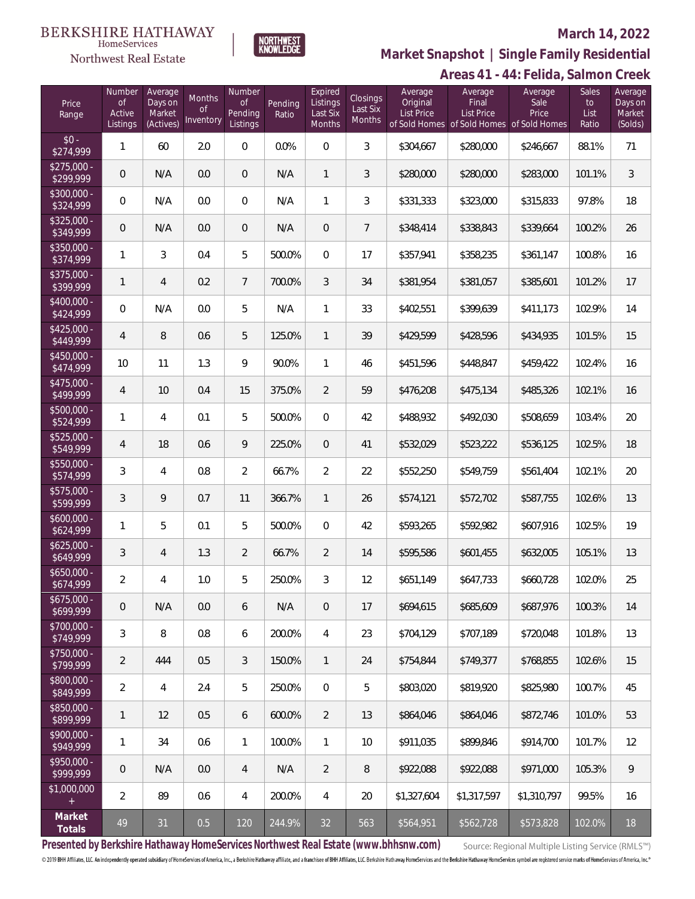## Northwest Real Estate



### **March 14, 2022**

**Areas 41 - 44: Felida, Salmon Creek Market Snapshot | Single Family Residential**

| Price<br>Range            | Number<br><b>of</b><br>Active<br>Listings | Average<br>Days on<br>Market<br>(Actives) | Months<br>0f<br>Inventory | Number<br><b>of</b><br>Pending<br>Listings | Pending<br>Ratio | Expired<br>Listings<br>Last Six<br>Months | <b>Closings</b><br>Last Six<br>Months | Average<br>Original<br><b>List Price</b> | Average<br>Final<br><b>List Price</b> | Average<br>Sale<br>Price<br>of Sold Homes of Sold Homes of Sold Homes | Sales<br>to<br>List<br>Ratio | Average<br>Days on<br>Market<br>(Solds) |
|---------------------------|-------------------------------------------|-------------------------------------------|---------------------------|--------------------------------------------|------------------|-------------------------------------------|---------------------------------------|------------------------------------------|---------------------------------------|-----------------------------------------------------------------------|------------------------------|-----------------------------------------|
| $$0 -$<br>\$274,999       | 1                                         | 60                                        | 2.0                       | $\overline{0}$                             | 0.0%             | $\overline{0}$                            | 3                                     | \$304,667                                | \$280,000                             | \$246,667                                                             | 88.1%                        | 71                                      |
| $$275,000 -$<br>\$299,999 | 0                                         | N/A                                       | 0.0                       | $\overline{0}$                             | N/A              | $\mathbf{1}$                              | 3                                     | \$280,000                                | \$280,000                             | \$283,000                                                             | 101.1%                       | 3                                       |
| $$300,000 -$<br>\$324,999 | 0                                         | N/A                                       | 0.0                       | $\mathbf{0}$                               | N/A              | $\mathbf{1}$                              | 3                                     | \$331,333                                | \$323,000                             | \$315,833                                                             | 97.8%                        | 18                                      |
| $$325,000 -$<br>\$349,999 | 0                                         | N/A                                       | 0.0                       | $\overline{0}$                             | N/A              | $\overline{0}$                            | $\overline{7}$                        | \$348,414                                | \$338,843                             | \$339,664                                                             | 100.2%                       | 26                                      |
| $$350.000 -$<br>\$374,999 | 1                                         | 3                                         | 0.4                       | 5                                          | 500.0%           | $\overline{0}$                            | 17                                    | \$357,941                                | \$358,235                             | \$361,147                                                             | 100.8%                       | 16                                      |
| $$375,000 -$<br>\$399,999 | 1                                         | 4                                         | 0.2                       | $7\overline{ }$                            | 700.0%           | 3                                         | 34                                    | \$381,954                                | \$381,057                             | \$385,601                                                             | 101.2%                       | 17                                      |
| $$400,000 -$<br>\$424,999 | $\overline{0}$                            | N/A                                       | 0.0                       | 5                                          | N/A              | $\mathbf{1}$                              | 33                                    | \$402,551                                | \$399,639                             | \$411,173                                                             | 102.9%                       | 14                                      |
| $$425,000 -$<br>\$449,999 | 4                                         | $\, 8$                                    | 0.6                       | 5                                          | 125.0%           | $\mathbf{1}$                              | 39                                    | \$429,599                                | \$428,596                             | \$434,935                                                             | 101.5%                       | 15                                      |
| \$450,000 -<br>\$474,999  | 10                                        | 11                                        | 1.3                       | 9                                          | 90.0%            | $\mathbf{1}$                              | 46                                    | \$451,596                                | \$448,847                             | \$459,422                                                             | 102.4%                       | 16                                      |
| \$475,000 -<br>\$499,999  | 4                                         | 10                                        | 0.4                       | 15                                         | 375.0%           | $\overline{2}$                            | 59                                    | \$476,208                                | \$475,134                             | \$485,326                                                             | 102.1%                       | 16                                      |
| \$500,000 -<br>\$524,999  | 1                                         | 4                                         | 0.1                       | 5                                          | 500.0%           | $\overline{0}$                            | 42                                    | \$488,932                                | \$492,030                             | \$508,659                                                             | 103.4%                       | 20                                      |
| \$525,000 -<br>\$549,999  | 4                                         | 18                                        | 0.6                       | 9                                          | 225.0%           | $\overline{0}$                            | 41                                    | \$532,029                                | \$523,222                             | \$536,125                                                             | 102.5%                       | 18                                      |
| \$550,000 -<br>\$574,999  | 3                                         | 4                                         | 0.8                       | $\overline{2}$                             | 66.7%            | $\overline{2}$                            | 22                                    | \$552,250                                | \$549,759                             | \$561,404                                                             | 102.1%                       | 20                                      |
| $$575,000 -$<br>\$599,999 | 3                                         | 9                                         | 0.7                       | 11                                         | 366.7%           | $\mathbf{1}$                              | 26                                    | \$574,121                                | \$572,702                             | \$587,755                                                             | 102.6%                       | 13                                      |
| $$600,000 -$<br>\$624,999 | 1                                         | 5                                         | 0.1                       | 5                                          | 500.0%           | $\overline{0}$                            | 42                                    | \$593,265                                | \$592,982                             | \$607,916                                                             | 102.5%                       | 19                                      |
| $$625,000 -$<br>\$649,999 | 3                                         | 4                                         | 1.3                       | $\overline{2}$                             | 66.7%            | $\overline{2}$                            | 14                                    | \$595,586                                | \$601,455                             | \$632,005                                                             | 105.1%                       | 13                                      |
| \$650,000 -<br>\$674,999  | $\overline{2}$                            | 4                                         | 1.0                       | 5                                          | 250.0%           | 3                                         | 12                                    | \$651,149                                | \$647,733                             | \$660,728                                                             | 102.0%                       | 25                                      |
| $$675,000 -$<br>\$699,999 | $\theta$                                  | N/A                                       | 0.0                       | 6                                          | N/A              | $\mathbf 0$                               | 17                                    | \$694,615                                | \$685,609                             | \$687,976                                                             | 100.3%                       | 14                                      |
| $$700,000 -$<br>\$749,999 | 3                                         | 8                                         | 0.8                       | 6                                          | 200.0%           | 4                                         | 23                                    | \$704,129                                | \$707,189                             | \$720,048                                                             | 101.8%                       | 13                                      |
| \$750,000 -<br>\$799,999  | $\overline{2}$                            | 444                                       | 0.5                       | 3                                          | 150.0%           | $\mathbf{1}$                              | 24                                    | \$754,844                                | \$749,377                             | \$768,855                                                             | 102.6%                       | 15                                      |
| \$800,000 -<br>\$849,999  | $\overline{2}$                            | $\overline{4}$                            | 2.4                       | 5                                          | 250.0%           | $\boldsymbol{0}$                          | 5                                     | \$803,020                                | \$819,920                             | \$825,980                                                             | 100.7%                       | 45                                      |
| \$850,000 -<br>\$899,999  | 1                                         | 12                                        | 0.5                       | 6                                          | 600.0%           | $\overline{2}$                            | 13                                    | \$864,046                                | \$864,046                             | \$872,746                                                             | 101.0%                       | 53                                      |
| \$900,000 -<br>\$949,999  | 1                                         | 34                                        | 0.6                       | $\mathbf{1}$                               | 100.0%           | $\mathbf{1}$                              | 10                                    | \$911,035                                | \$899,846                             | \$914,700                                                             | 101.7%                       | 12                                      |
| \$950,000 -<br>\$999,999  | $\mathbf 0$                               | N/A                                       | 0.0                       | $\overline{4}$                             | N/A              | $\overline{2}$                            | $\, 8$                                | \$922,088                                | \$922,088                             | \$971,000                                                             | 105.3%                       | 9                                       |
| \$1,000,000<br>$+$        | $\overline{2}$                            | 89                                        | 0.6                       | 4                                          | 200.0%           | $\overline{4}$                            | 20                                    | \$1,327,604                              | \$1,317,597                           | \$1,310,797                                                           | 99.5%                        | 16                                      |
| Market<br>Totals          | 49                                        | 31                                        | 0.5                       | 120                                        | 244.9%           | 32                                        | 563                                   | \$564,951                                | \$562,728                             | \$573,828                                                             | 102.0%                       | 18                                      |

**Presented by Berkshire Hathaway HomeServices Northwest Real Estate (www.bhhsnw.com)**

Source: Regional Multiple Listing Service (RMLS™)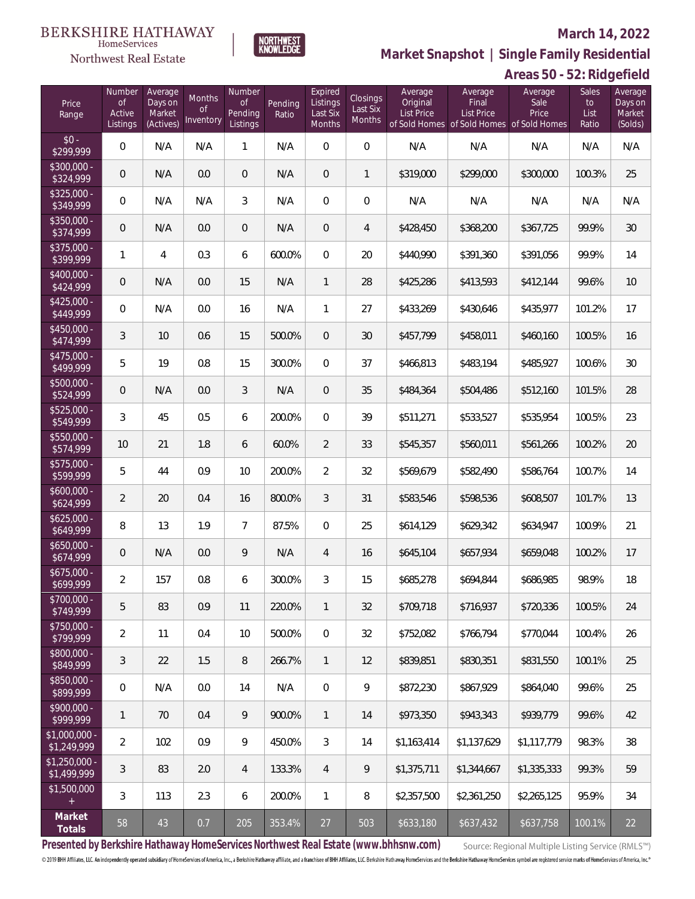## Northwest Real Estate

## **March 14, 2022**



**Market Snapshot | Single Family Residential**

| Price<br>Range                | Number<br><b>of</b><br>Active<br>Listings | Average<br>Days on<br>Market<br>(Actives) | Months<br><b>of</b><br>Inventory | Number<br><b>of</b><br>Pending<br>Listings | Pending<br>Ratio | Expired<br>Listings<br>Last Six<br>Months | Closings<br>Last Six<br>Months | Average<br>Original<br><b>List Price</b> | Average<br>Final<br><b>List Price</b> | Average<br>Sale<br>Price<br>of Sold Homes of Sold Homes of Sold Homes | Sales<br>to<br>List<br>Ratio | Average<br>Days on<br>Market<br>(Solds) |
|-------------------------------|-------------------------------------------|-------------------------------------------|----------------------------------|--------------------------------------------|------------------|-------------------------------------------|--------------------------------|------------------------------------------|---------------------------------------|-----------------------------------------------------------------------|------------------------------|-----------------------------------------|
| $$0 -$<br>\$299,999           | $\overline{0}$                            | N/A                                       | N/A                              | $\mathbf{1}$                               | N/A              | $\overline{0}$                            | $\overline{0}$                 | N/A                                      | N/A                                   | N/A                                                                   | N/A                          | N/A                                     |
| $$300,000 -$<br>\$324,999     | $\overline{0}$                            | N/A                                       | 0.0                              | $\overline{0}$                             | N/A              | $\overline{0}$                            | $\mathbf{1}$                   | \$319,000                                | \$299,000                             | \$300,000                                                             | 100.3%                       | 25                                      |
| $$325,000 -$<br>\$349,999     | $\overline{0}$                            | N/A                                       | N/A                              | 3                                          | N/A              | $\mathbf{0}$                              | $\overline{0}$                 | N/A                                      | N/A                                   | N/A                                                                   | N/A                          | N/A                                     |
| $$350,000 -$<br>\$374,999     | $\overline{0}$                            | N/A                                       | 0.0                              | $\mathsf{O}\xspace$                        | N/A              | $\overline{0}$                            | 4                              | \$428,450                                | \$368,200                             | \$367,725                                                             | 99.9%                        | 30                                      |
| $$375,000 -$<br>\$399,999     | 1                                         | $\overline{4}$                            | 0.3                              | 6                                          | 600.0%           | $\Omega$                                  | 20                             | \$440,990                                | \$391,360                             | \$391,056                                                             | 99.9%                        | 14                                      |
| $$400,000 -$<br>\$424,999     | $\overline{0}$                            | N/A                                       | 0.0                              | 15                                         | N/A              | $\mathbf{1}$                              | 28                             | \$425,286                                | \$413,593                             | \$412,144                                                             | 99.6%                        | 10                                      |
| $$425,000 -$<br>\$449,999     | $\mathsf{O}\xspace$                       | N/A                                       | 0.0                              | 16                                         | N/A              | $\mathbf{1}$                              | 27                             | \$433,269                                | \$430,646                             | \$435,977                                                             | 101.2%                       | 17                                      |
| $$450,000 -$<br>\$474,999     | 3                                         | 10                                        | 0.6                              | 15                                         | 500.0%           | $\overline{0}$                            | 30                             | \$457,799                                | \$458,011                             | \$460,160                                                             | 100.5%                       | 16                                      |
| $$475,000 -$<br>\$499,999     | 5                                         | 19                                        | 0.8                              | 15                                         | 300.0%           | $\Omega$                                  | 37                             | \$466,813                                | \$483,194                             | \$485,927                                                             | 100.6%                       | 30                                      |
| $$500,000 -$<br>\$524,999     | $\overline{0}$                            | N/A                                       | 0.0                              | 3                                          | N/A              | $\overline{0}$                            | 35                             | \$484,364                                | \$504,486                             | \$512,160                                                             | 101.5%                       | 28                                      |
| $$525,000 -$<br>\$549,999     | 3                                         | 45                                        | 0.5                              | 6                                          | 200.0%           | $\Omega$                                  | 39                             | \$511,271                                | \$533,527                             | \$535,954                                                             | 100.5%                       | 23                                      |
| \$550,000 -<br>\$574,999      | 10                                        | 21                                        | 1.8                              | 6                                          | 60.0%            | $\overline{2}$                            | 33                             | \$545,357                                | \$560,011                             | \$561,266                                                             | 100.2%                       | 20                                      |
| \$575,000 -<br>\$599,999      | 5                                         | 44                                        | 0.9                              | 10                                         | 200.0%           | $\overline{2}$                            | 32                             | \$569,679                                | \$582,490                             | \$586,764                                                             | 100.7%                       | 14                                      |
| $$600,000 -$<br>\$624,999     | $\overline{2}$                            | 20                                        | 0.4                              | 16                                         | 800.0%           | $\mathcal{S}$                             | 31                             | \$583,546                                | \$598,536                             | \$608,507                                                             | 101.7%                       | 13                                      |
| $$625,000 -$<br>\$649,999     | 8                                         | 13                                        | 1.9                              | $7\overline{ }$                            | 87.5%            | $\overline{0}$                            | 25                             | \$614,129                                | \$629,342                             | \$634,947                                                             | 100.9%                       | 21                                      |
| $$650,000 -$<br>\$674,999     | $\overline{0}$                            | N/A                                       | 0.0                              | 9                                          | N/A              | $\overline{4}$                            | 16                             | \$645,104                                | \$657,934                             | \$659,048                                                             | 100.2%                       | 17                                      |
| $$675,000 -$<br>\$699,999     | $\overline{2}$                            | 157                                       | 0.8                              | 6                                          | 300.0%           | 3                                         | 15                             | \$685,278                                | \$694,844                             | \$686,985                                                             | 98.9%                        | 18                                      |
| \$700,000 -<br>\$749,999      | 5                                         | 83                                        | 0.9                              | 11                                         | 220.0%           | $\mathbf{1}$                              | 32                             | \$709,718                                | \$716,937                             | \$720,336                                                             | 100.5%                       | 24                                      |
| \$750,000 -<br>\$799,999      | $\overline{2}$                            | 11                                        | 0.4                              | 10                                         | 500.0%           | $\overline{0}$                            | 32                             | \$752,082                                | \$766,794                             | \$770,044                                                             | 100.4%                       | 26                                      |
| \$800,000 -<br>\$849,999      | 3                                         | 22                                        | 1.5                              | 8                                          | 266.7%           | $\mathbf{1}$                              | 12                             | \$839,851                                | \$830,351                             | \$831,550                                                             | 100.1%                       | 25                                      |
| \$850,000 -<br>\$899,999      | 0                                         | N/A                                       | 0.0                              | 14                                         | N/A              | $\overline{0}$                            | 9                              | \$872,230                                | \$867,929                             | \$864,040                                                             | 99.6%                        | 25                                      |
| \$900,000 -<br>\$999,999      | 1                                         | 70                                        | 0.4                              | 9                                          | 900.0%           | $\mathbf{1}$                              | 14                             | \$973,350                                | \$943,343                             | \$939,779                                                             | 99.6%                        | 42                                      |
| \$1,000,000 -<br>\$1,249,999  | $\overline{2}$                            | 102                                       | 0.9                              | 9                                          | 450.0%           | 3                                         | 14                             | \$1,163,414                              | \$1,137,629                           | \$1,117,779                                                           | 98.3%                        | 38                                      |
| $$1,250,000$ -<br>\$1,499,999 | 3                                         | 83                                        | 2.0                              | $\overline{4}$                             | 133.3%           | $\overline{4}$                            | 9                              | \$1,375,711                              | \$1,344,667                           | \$1,335,333                                                           | 99.3%                        | 59                                      |
| \$1,500,000<br>$+$            | 3                                         | 113                                       | 2.3                              | 6                                          | 200.0%           | $\mathbf{1}$                              | 8                              | \$2,357,500                              | \$2,361,250                           | \$2,265,125                                                           | 95.9%                        | 34                                      |
| Market<br>Totals              | $58\,$                                    | $43\,$                                    | 0.7                              | 205                                        | 353.4%           | $27\,$                                    | 503                            | \$633,180                                | \$637,432                             | \$637,758                                                             | 100.1%                       | 22                                      |

**Presented by Berkshire Hathaway HomeServices Northwest Real Estate (www.bhhsnw.com)**

Source: Regional Multiple Listing Service (RMLS™)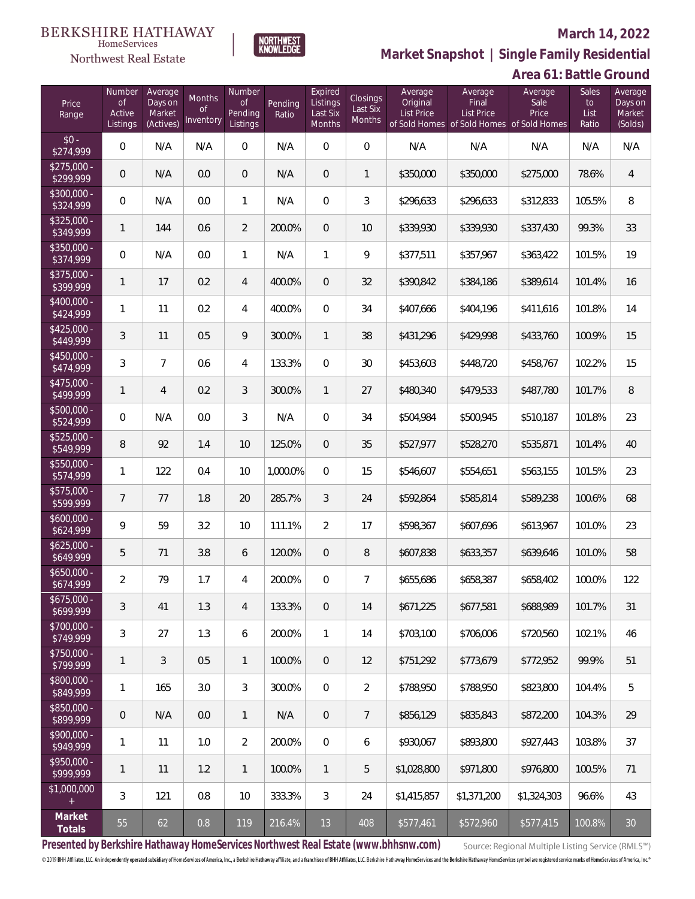## Northwest Real Estate

## **March 14, 2022**



**Market Snapshot | Single Family Residential**

## **Area 61: Battle Ground**

| Price<br>Range                    | Number<br><b>of</b><br>Active<br>Listings | Average<br>Days on<br>Market<br>(Actives) | Months<br><b>of</b><br>Inventory | Number<br><b>of</b><br>Pending<br>Listings | Pending<br>Ratio | Expired<br>Listings<br>Last Six<br>Months | Closings<br>Last Six<br>Months | Average<br>Original<br>List Price | Average<br>Final<br><b>List Price</b><br>of Sold Homes of Sold Homes of Sold Homes | Average<br>Sale<br>Price | Sales<br>to<br>List<br>Ratio | Average<br>Days on<br>Market<br>(Solds) |
|-----------------------------------|-------------------------------------------|-------------------------------------------|----------------------------------|--------------------------------------------|------------------|-------------------------------------------|--------------------------------|-----------------------------------|------------------------------------------------------------------------------------|--------------------------|------------------------------|-----------------------------------------|
| $$0 -$<br>\$274,999               | $\overline{0}$                            | N/A                                       | N/A                              | $\overline{0}$                             | N/A              | $\overline{0}$                            | $\overline{0}$                 | N/A                               | N/A                                                                                | N/A                      | N/A                          | N/A                                     |
| $$275,000 -$<br>\$299,999         | $\overline{0}$                            | N/A                                       | 0.0                              | $\overline{0}$                             | N/A              | $\overline{0}$                            | $\mathbf{1}$                   | \$350,000                         | \$350,000                                                                          | \$275,000                | 78.6%                        | $\overline{4}$                          |
| $$300,000 -$<br>\$324,999         | 0                                         | N/A                                       | 0.0                              | 1                                          | N/A              | $\overline{0}$                            | 3                              | \$296,633                         | \$296,633                                                                          | \$312,833                | 105.5%                       | 8                                       |
| $$325,000 -$<br>\$349,999         | $\mathbf{1}$                              | 144                                       | 0.6                              | $\overline{2}$                             | 200.0%           | 0                                         | 10                             | \$339,930                         | \$339,930                                                                          | \$337,430                | 99.3%                        | 33                                      |
| $$350,000 -$<br>\$374,999         | 0                                         | N/A                                       | 0.0                              | $\mathbf{1}$                               | N/A              | 1                                         | 9                              | \$377,511                         | \$357,967                                                                          | \$363,422                | 101.5%                       | 19                                      |
| $$375,000 -$<br>\$399,999         | $\mathbf{1}$                              | 17                                        | 0.2                              | 4                                          | 400.0%           | 0                                         | 32                             | \$390,842                         | \$384,186                                                                          | \$389,614                | 101.4%                       | 16                                      |
| $$400,000 -$<br>\$424,999         | $\mathbf{1}$                              | 11                                        | 0.2                              | $\overline{4}$                             | 400.0%           | $\Omega$                                  | 34                             | \$407,666                         | \$404,196                                                                          | \$411,616                | 101.8%                       | 14                                      |
| $$425,000 -$<br>\$449,999         | 3                                         | 11                                        | 0.5                              | 9                                          | 300.0%           | $\mathbf{1}$                              | 38                             | \$431,296                         | \$429,998                                                                          | \$433,760                | 100.9%                       | 15                                      |
| $$450,000 -$<br>\$474,999         | 3                                         | $\overline{7}$                            | 0.6                              | $\overline{4}$                             | 133.3%           | $\overline{0}$                            | 30                             | \$453,603                         | \$448,720                                                                          | \$458,767                | 102.2%                       | 15                                      |
| $$475,000 -$<br>$\sqrt{$499,999}$ | $\mathbf{1}$                              | $\overline{4}$                            | 0.2                              | 3                                          | 300.0%           | $\mathbf{1}$                              | 27                             | \$480,340                         | \$479,533                                                                          | \$487,780                | 101.7%                       | 8                                       |
| $$500,000 -$<br>\$524,999         | 0                                         | N/A                                       | 0.0                              | 3                                          | N/A              | $\overline{0}$                            | 34                             | \$504,984                         | \$500,945                                                                          | \$510,187                | 101.8%                       | 23                                      |
| $$525,000 -$<br>\$549,999         | 8                                         | 92                                        | 1.4                              | 10                                         | 125.0%           | $\overline{0}$                            | 35                             | \$527,977                         | \$528,270                                                                          | \$535,871                | 101.4%                       | 40                                      |
| \$550,000 -<br>\$574,999          | $\mathbf{1}$                              | 122                                       | 0.4                              | 10                                         | 1,000.0%         | $\Omega$                                  | 15                             | \$546,607                         | \$554,651                                                                          | \$563,155                | 101.5%                       | 23                                      |
| \$575,000 -<br>\$599,999          | $7\phantom{.}$                            | 77                                        | 1.8                              | 20                                         | 285.7%           | 3                                         | 24                             | \$592,864                         | \$585,814                                                                          | \$589,238                | 100.6%                       | 68                                      |
| $$600,000 -$<br>\$624,999         | 9                                         | 59                                        | 3.2                              | 10                                         | 111.1%           | $\overline{2}$                            | 17                             | \$598,367                         | \$607,696                                                                          | \$613,967                | 101.0%                       | 23                                      |
| $$625,000 -$<br>\$649,999         | 5                                         | 71                                        | 3.8                              | 6                                          | 120.0%           | $\overline{0}$                            | 8                              | \$607,838                         | \$633,357                                                                          | \$639,646                | 101.0%                       | 58                                      |
| $$650,000 -$<br>\$674,999         | $\overline{2}$                            | 79                                        | 1.7                              | $\overline{4}$                             | 200.0%           | $\Omega$                                  | $\overline{7}$                 | \$655,686                         | \$658,387                                                                          | \$658,402                | 100.0%                       | 122                                     |
| $$675,000 -$<br>\$699,999         | 3                                         | 41                                        | 1.3                              | 4                                          | 133.3%           | $\overline{0}$                            | 14                             | \$671,225                         | \$677,581                                                                          | \$688,989                | 101.7%                       | 31                                      |
| \$700,000 -<br>\$749,999          | 3                                         | 27                                        | 1.3                              | 6                                          | 200.0%           | $\mathbf{1}$                              | 14                             | \$703,100                         | \$706,006                                                                          | \$720,560                | 102.1%                       | 46                                      |
| \$750,000 -<br>\$799,999          | 1                                         | 3                                         | 0.5                              | $\mathbf{1}$                               | 100.0%           | $\overline{0}$                            | 12                             | \$751,292                         | \$773,679                                                                          | \$772,952                | 99.9%                        | 51                                      |
| \$800,000 -<br>\$849,999          | $\mathbf{1}$                              | 165                                       | 3.0                              | 3                                          | 300.0%           | $\mathbf 0$                               | $\overline{2}$                 | \$788,950                         | \$788,950                                                                          | \$823,800                | 104.4%                       | 5                                       |
| \$850,000 -<br>\$899,999          | 0                                         | N/A                                       | 0.0                              | $\mathbf{1}$                               | N/A              | $\overline{0}$                            | 7                              | \$856,129                         | \$835,843                                                                          | \$872,200                | 104.3%                       | 29                                      |
| \$900,000 -<br>\$949,999          | $\mathbf{1}$                              | 11                                        | 1.0                              | $\overline{2}$                             | 200.0%           | $\mathbf 0$                               | 6                              | \$930,067                         | \$893,800                                                                          | \$927,443                | 103.8%                       | 37                                      |
| \$950,000 -<br>\$999,999          | 1                                         | 11                                        | 1.2                              | $\mathbf{1}$                               | 100.0%           | $\mathbf{1}$                              | 5                              | \$1,028,800                       | \$971,800                                                                          | \$976,800                | 100.5%                       | 71                                      |
| \$1,000,000<br>$+$                | 3                                         | 121                                       | 0.8                              | 10                                         | 333.3%           | 3                                         | 24                             | \$1,415,857                       | \$1,371,200                                                                        | \$1,324,303              | 96.6%                        | 43                                      |
| Market<br>Totals                  | $55\,$                                    | 62                                        | 0.8                              | 119                                        | 216.4%           | 13                                        | 408                            | \$577,461                         | \$572,960                                                                          | \$577,415                | 100.8%                       | $30\,$                                  |

**Presented by Berkshire Hathaway HomeServices Northwest Real Estate (www.bhhsnw.com)**

Source: Regional Multiple Listing Service (RMLS™)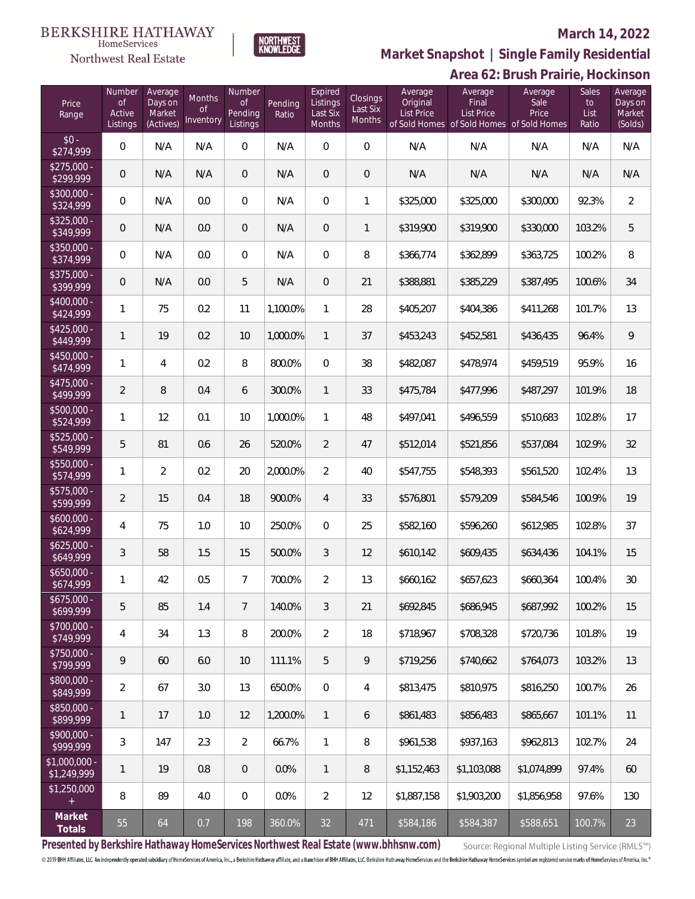# Northwest Real Estate



## **March 14, 2022**

**Area 62: Brush Prairie, Hockinson Market Snapshot | Single Family Residential**

| Price<br>Range                | Number<br><b>of</b><br>Active<br>Listings | Average<br>Days on<br>Market<br>(Actives) | Months<br><b>of</b><br>Inventory | Number<br><b>of</b><br>Pending<br>Listings | Pending<br>Ratio | Expired<br>Listings<br>Last Six<br>Months | Closings<br>Last Six<br>Months | Average<br>Original<br>List Price | Average<br>Final<br>List Price<br>of Sold Homes of Sold Homes of Sold Homes | Average<br>Sale<br>Price | Sales<br>to<br>List<br>Ratio | Average<br>Days on<br>Market<br>(Solds) |
|-------------------------------|-------------------------------------------|-------------------------------------------|----------------------------------|--------------------------------------------|------------------|-------------------------------------------|--------------------------------|-----------------------------------|-----------------------------------------------------------------------------|--------------------------|------------------------------|-----------------------------------------|
| $$0 -$<br>\$274,999           | 0                                         | N/A                                       | N/A                              | 0                                          | N/A              | $\mathbf 0$                               | $\mathbf 0$                    | N/A                               | N/A                                                                         | N/A                      | N/A                          | N/A                                     |
| $$275,000 -$<br>\$299,999     | 0                                         | N/A                                       | N/A                              | $\mathbf 0$                                | N/A              | $\overline{0}$                            | $\mathbf 0$                    | N/A                               | N/A                                                                         | N/A                      | N/A                          | N/A                                     |
| \$300,000 -<br>\$324,999      | 0                                         | N/A                                       | 0.0                              | 0                                          | N/A              | $\mathbf 0$                               | $\mathbf{1}$                   | \$325,000                         | \$325,000                                                                   | \$300,000                | 92.3%                        | $\overline{2}$                          |
| \$325,000 -<br>\$349,999      | 0                                         | N/A                                       | 0.0                              | $\mathbf 0$                                | N/A              | 0                                         | 1                              | \$319,900                         | \$319,900                                                                   | \$330,000                | 103.2%                       | 5                                       |
| $$350,000 -$<br>\$374,999     | 0                                         | N/A                                       | 0.0                              | 0                                          | N/A              | $\mathbf 0$                               | 8                              | \$366,774                         | \$362,899                                                                   | \$363,725                | 100.2%                       | 8                                       |
| \$375,000 -<br>\$399,999      | 0                                         | N/A                                       | 0.0                              | 5                                          | N/A              | 0                                         | 21                             | \$388,881                         | \$385,229                                                                   | \$387,495                | 100.6%                       | 34                                      |
| \$400,000 -<br>\$424,999      | 1                                         | 75                                        | 0.2                              | 11                                         | 1,100.0%         | 1                                         | 28                             | \$405,207                         | \$404,386                                                                   | \$411,268                | 101.7%                       | 13                                      |
| \$425,000 -<br>\$449,999      | $\mathbf{1}$                              | 19                                        | 0.2                              | 10                                         | 1,000.0%         | $\mathbf{1}$                              | 37                             | \$453,243                         | \$452,581                                                                   | \$436,435                | 96.4%                        | 9                                       |
| \$450,000 -<br>\$474,999      | 1                                         | 4                                         | 0.2                              | 8                                          | 800.0%           | $\overline{0}$                            | 38                             | \$482,087                         | \$478,974                                                                   | \$459,519                | 95.9%                        | 16                                      |
| \$475,000 -<br>\$499,999      | $\overline{2}$                            | $\, 8$                                    | 0.4                              | 6                                          | 300.0%           | $\mathbf{1}$                              | 33                             | \$475,784                         | \$477,996                                                                   | \$487,297                | 101.9%                       | 18                                      |
| \$500,000 -<br>\$524,999      | 1                                         | 12                                        | 0.1                              | 10                                         | 1,000.0%         | 1                                         | 48                             | \$497,041                         | \$496,559                                                                   | \$510,683                | 102.8%                       | 17                                      |
| \$525,000 -<br>\$549,999      | 5                                         | 81                                        | 0.6                              | 26                                         | 520.0%           | $\overline{2}$                            | 47                             | \$512,014                         | \$521,856                                                                   | \$537,084                | 102.9%                       | 32                                      |
| \$550,000 -<br>\$574,999      | 1                                         | $\overline{2}$                            | 0.2                              | 20                                         | 2,000.0%         | $\overline{2}$                            | 40                             | \$547,755                         | \$548,393                                                                   | \$561,520                | 102.4%                       | 13                                      |
| $$575,000 -$<br>\$599,999     | $\overline{2}$                            | 15                                        | 0.4                              | 18                                         | 900.0%           | $\overline{4}$                            | 33                             | \$576,801                         | \$579,209                                                                   | \$584,546                | 100.9%                       | 19                                      |
| $$600,000 -$<br>\$624,999     | 4                                         | 75                                        | 1.0                              | 10                                         | 250.0%           | $\mathbf{0}$                              | 25                             | \$582,160                         | \$596,260                                                                   | \$612,985                | 102.8%                       | 37                                      |
| $$625,000 -$<br>\$649,999     | 3                                         | 58                                        | 1.5                              | 15                                         | 500.0%           | 3                                         | 12                             | \$610,142                         | \$609,435                                                                   | \$634,436                | 104.1%                       | 15                                      |
| $$650,000 -$<br>\$674,999     | 1                                         | 42                                        | 0.5                              | 7                                          | 700.0%           | $\overline{2}$                            | 13                             | \$660,162                         | \$657,623                                                                   | \$660,364                | 100.4%                       | $30\,$                                  |
| $$675,000 -$<br>\$699,999     | 5                                         | 85                                        | 1.4                              | $\overline{7}$                             | 140.0%           | 3                                         | 21                             | \$692,845                         | \$686,945                                                                   | \$687,992                | 100.2%                       | 15                                      |
| \$700,000 -<br>\$749,999      | 4                                         | 34                                        | 1.3                              | 8                                          | 200.0%           | $\overline{2}$                            | 18                             | \$718.967                         | \$708,328                                                                   | \$720,736                | 101.8%                       | 19                                      |
| \$750,000 -<br>\$799,999      | 9                                         | 60                                        | 6.0                              | 10                                         | 111.1%           | 5                                         | 9                              | \$719.256                         | \$740,662                                                                   | \$764,073                | 103.2%                       | 13                                      |
| \$800,000 -<br>\$849,999      | $\overline{2}$                            | 67                                        | 3.0                              | 13                                         | 650.0%           | $\overline{0}$                            | 4                              | \$813,475                         | \$810,975                                                                   | \$816,250                | 100.7%                       | 26                                      |
| \$850,000 -<br>\$899,999      | 1                                         | 17                                        | 1.0                              | 12                                         | 1,200.0%         | $\mathbf{1}$                              | 6                              | \$861.483                         | \$856,483                                                                   | \$865,667                | 101.1%                       | 11                                      |
| \$900,000 -<br>\$999,999      | 3                                         | 147                                       | 2.3                              | $\overline{2}$                             | 66.7%            | $\mathbf{1}$                              | 8                              | \$961,538                         | \$937,163                                                                   | \$962,813                | 102.7%                       | 24                                      |
| $$1,000,000$ -<br>\$1,249,999 | 1                                         | 19                                        | 0.8                              | $\mathbf 0$                                | 0.0%             | $\mathbf{1}$                              | 8                              | \$1,152,463                       | \$1,103,088                                                                 | \$1,074,899              | 97.4%                        | 60                                      |
| \$1,250,000                   | 8                                         | 89                                        | 4.0                              | $\overline{0}$                             | 0.0%             | $\overline{2}$                            | 12                             | \$1,887,158                       | \$1,903,200                                                                 | \$1,856,958              | 97.6%                        | 130                                     |
| Market<br>Totals              | 55                                        | 64                                        | 0.7                              | 198                                        | 360.0%           | 32                                        | 471                            | \$584,186                         | \$584,387                                                                   | \$588,651                | 100.7%                       | 23                                      |

**Presented by Berkshire Hathaway HomeServices Northwest Real Estate (www.bhhsnw.com)**

Source: Regional Multiple Listing Service (RMLS™)